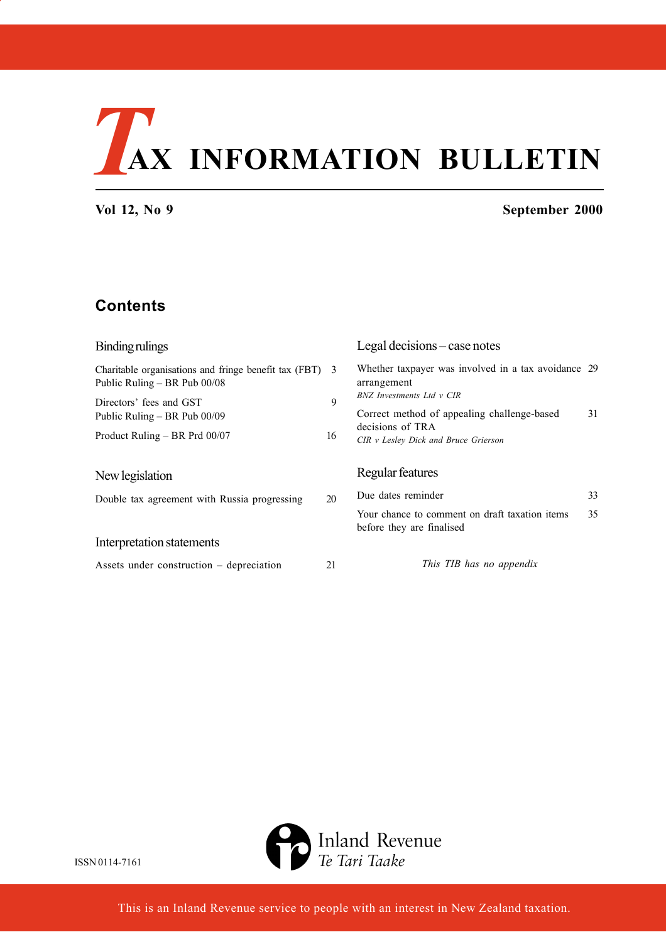# *T* **AX INFORMATION BULLETIN**

## **Vol 12, No 9** September 2000

# **Contents**

| Binding rulings                                                                            |         | Legal decisions – case notes                                                                                                         |    |
|--------------------------------------------------------------------------------------------|---------|--------------------------------------------------------------------------------------------------------------------------------------|----|
| Charitable organisations and fringe benefit tax (FBT)<br>Public Ruling - BR Pub 00/08      | 3       | Whether taxpayer was involved in a tax avoidance 29<br>arrangement                                                                   |    |
| Directors' fees and GST<br>Public Ruling $-$ BR Pub 00/09<br>Product Ruling – BR Prd 00/07 | 9<br>16 | BNZ Investments Ltd v CIR<br>Correct method of appealing challenge-based<br>decisions of TRA<br>CIR v Lesley Dick and Bruce Grierson | 31 |
| New legislation<br>Double tax agreement with Russia progressing                            | 20      | Regular features<br>Due dates reminder                                                                                               | 33 |
| Interpretation statements                                                                  |         | Your chance to comment on draft taxation items<br>before they are finalised                                                          | 35 |
| Assets under construction – depreciation                                                   | 21      | This TIB has no appendix                                                                                                             |    |



ISSN 0114-7161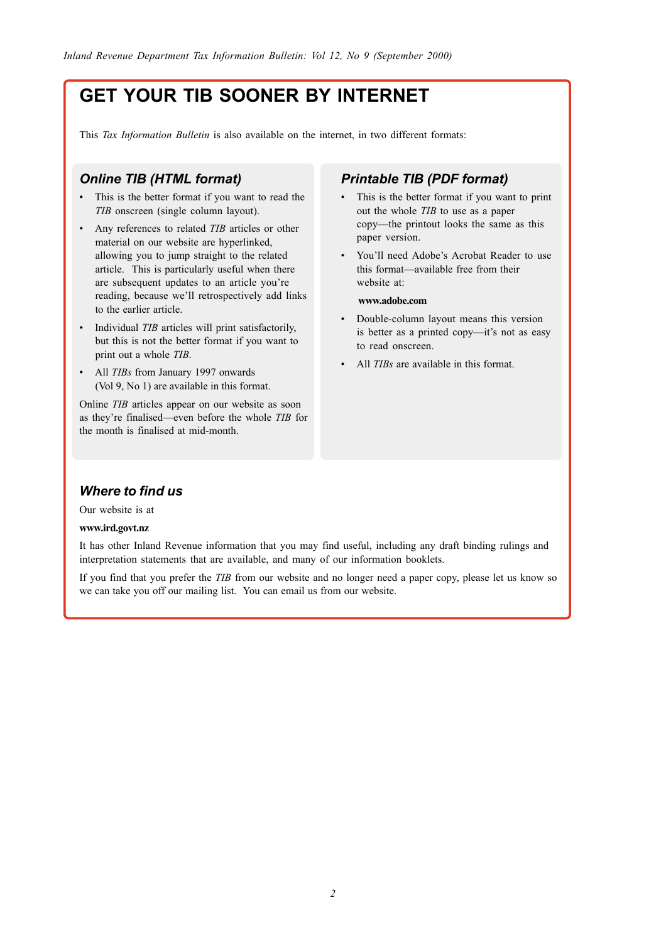# **GET YOUR TIB SOONER BY INTERNET**

This *Tax Information Bulletin* is also available on the internet, in two different formats:

## *Online TIB (HTML format)*

- This is the better format if you want to read the *TIB* onscreen (single column layout).
- Any references to related *TIB* articles or other material on our website are hyperlinked, allowing you to jump straight to the related article. This is particularly useful when there are subsequent updates to an article you're reading, because we'll retrospectively add links to the earlier article.
- Individual *TIB* articles will print satisfactorily, but this is not the better format if you want to print out a whole *TIB*.
- All *TIBs* from January 1997 onwards (Vol 9, No 1) are available in this format.

Online *TIB* articles appear on our website as soon as they're finalised—even before the whole *TIB* for the month is finalised at mid-month.

## *Printable TIB (PDF format)*

- This is the better format if you want to print out the whole *TIB* to use as a paper copy—the printout looks the same as this paper version.
- You'll need Adobe's Acrobat Reader to use this format—available free from their website at:

#### **www.adobe.com**

- Double-column layout means this version is better as a printed copy—it's not as easy to read onscreen.
- All *TIBs* are available in this format.

## *Where to find us*

Our website is at

#### **www.ird.govt.nz**

It has other Inland Revenue information that you may find useful, including any draft binding rulings and interpretation statements that are available, and many of our information booklets.

If you find that you prefer the *TIB* from our website and no longer need a paper copy, please let us know so we can take you off our mailing list. You can email us from our website.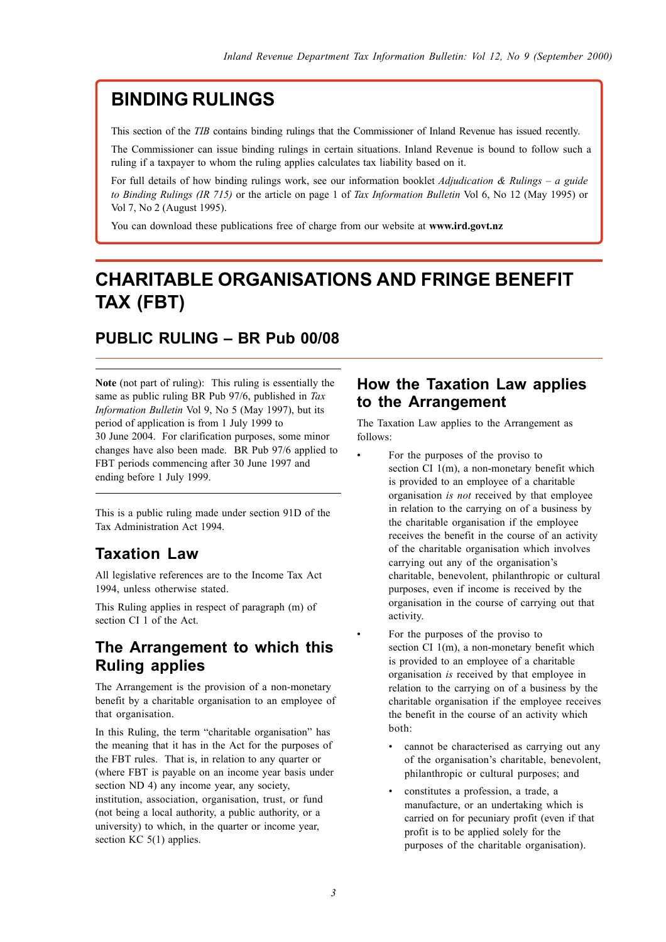# **BINDING RULINGS**

This section of the *TIB* contains binding rulings that the Commissioner of Inland Revenue has issued recently.

The Commissioner can issue binding rulings in certain situations. Inland Revenue is bound to follow such a ruling if a taxpayer to whom the ruling applies calculates tax liability based on it.

For full details of how binding rulings work, see our information booklet *Adjudication & Rulings – a guide to Binding Rulings (IR 715)* or the article on page 1 of *Tax Information Bulletin* Vol 6, No 12 (May 1995) or Vol 7, No 2 (August 1995).

You can download these publications free of charge from our website at **www.ird.govt.nz**

# **CHARITABLE ORGANISATIONS AND FRINGE BENEFIT TAX (FBT)**

## **PUBLIC RULING – BR Pub 00/08**

**Note** (not part of ruling): This ruling is essentially the same as public ruling BR Pub 97/6, published in *Tax Information Bulletin* Vol 9, No 5 (May 1997), but its period of application is from 1 July 1999 to 30 June 2004. For clarification purposes, some minor changes have also been made. BR Pub 97/6 applied to FBT periods commencing after 30 June 1997 and ending before 1 July 1999.

This is a public ruling made under section 91D of the Tax Administration Act 1994.

# **Taxation Law**

All legislative references are to the Income Tax Act 1994, unless otherwise stated.

This Ruling applies in respect of paragraph (m) of section CI<sub>1</sub> of the Act.

## **The Arrangement to which this Ruling applies**

The Arrangement is the provision of a non-monetary benefit by a charitable organisation to an employee of that organisation.

In this Ruling, the term "charitable organisation" has the meaning that it has in the Act for the purposes of the FBT rules. That is, in relation to any quarter or (where FBT is payable on an income year basis under section ND 4) any income year, any society, institution, association, organisation, trust, or fund (not being a local authority, a public authority, or a university) to which, in the quarter or income year, section KC 5(1) applies.

# **How the Taxation Law applies to the Arrangement**

The Taxation Law applies to the Arrangement as follows:

- For the purposes of the proviso to section CI 1(m), a non-monetary benefit which is provided to an employee of a charitable organisation *is not* received by that employee in relation to the carrying on of a business by the charitable organisation if the employee receives the benefit in the course of an activity of the charitable organisation which involves carrying out any of the organisation's charitable, benevolent, philanthropic or cultural purposes, even if income is received by the organisation in the course of carrying out that activity.
	- For the purposes of the proviso to section CI 1(m), a non-monetary benefit which is provided to an employee of a charitable organisation *is* received by that employee in relation to the carrying on of a business by the charitable organisation if the employee receives the benefit in the course of an activity which both:
	- cannot be characterised as carrying out any of the organisation's charitable, benevolent, philanthropic or cultural purposes; and
	- constitutes a profession, a trade, a manufacture, or an undertaking which is carried on for pecuniary profit (even if that profit is to be applied solely for the purposes of the charitable organisation).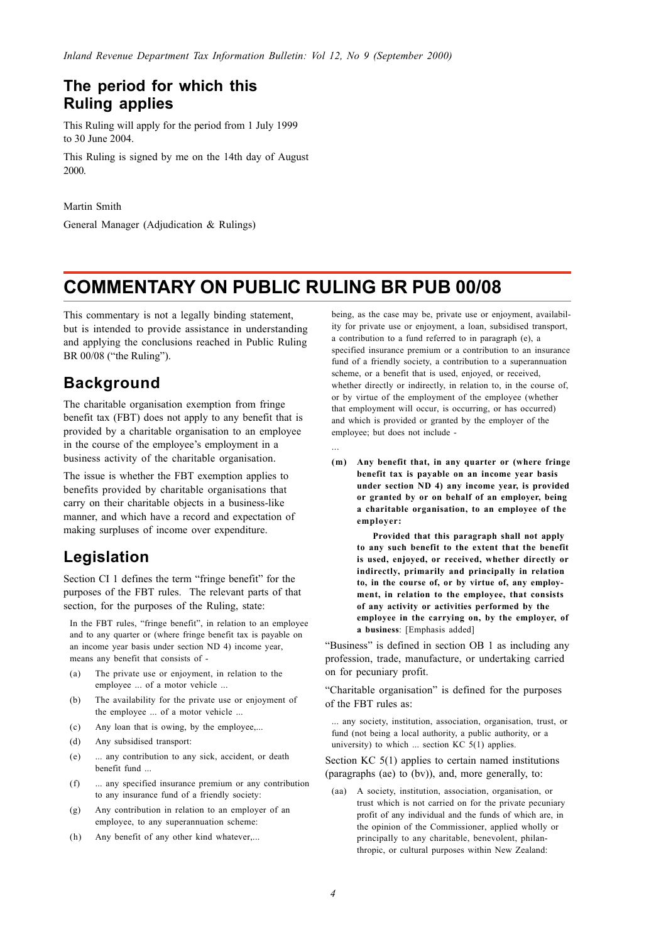## **The period for which this Ruling applies**

This Ruling will apply for the period from 1 July 1999 to 30 June 2004.

This Ruling is signed by me on the 14th day of August 2000.

Martin Smith General Manager (Adjudication & Rulings)

# **COMMENTARY ON PUBLIC RULING BR PUB 00/08**

This commentary is not a legally binding statement, but is intended to provide assistance in understanding and applying the conclusions reached in Public Ruling BR 00/08 ("the Ruling").

## **Background**

The charitable organisation exemption from fringe benefit tax (FBT) does not apply to any benefit that is provided by a charitable organisation to an employee in the course of the employee's employment in a business activity of the charitable organisation.

The issue is whether the FBT exemption applies to benefits provided by charitable organisations that carry on their charitable objects in a business-like manner, and which have a record and expectation of making surpluses of income over expenditure.

## **Legislation**

Section CI 1 defines the term "fringe benefit" for the purposes of the FBT rules. The relevant parts of that section, for the purposes of the Ruling, state:

In the FBT rules, "fringe benefit", in relation to an employee and to any quarter or (where fringe benefit tax is payable on an income year basis under section ND 4) income year, means any benefit that consists of -

- (a) The private use or enjoyment, in relation to the employee ... of a motor vehicle ...
- (b) The availability for the private use or enjoyment of the employee ... of a motor vehicle ...
- (c) Any loan that is owing, by the employee,...
- (d) Any subsidised transport:
- (e) ... any contribution to any sick, accident, or death benefit fund ...
- (f) ... any specified insurance premium or any contribution to any insurance fund of a friendly society:
- (g) Any contribution in relation to an employer of an employee, to any superannuation scheme:
- (h) Any benefit of any other kind whatever,...

being, as the case may be, private use or enjoyment, availability for private use or enjoyment, a loan, subsidised transport, a contribution to a fund referred to in paragraph (e), a specified insurance premium or a contribution to an insurance fund of a friendly society, a contribution to a superannuation scheme, or a benefit that is used, enjoyed, or received, whether directly or indirectly, in relation to, in the course of, or by virtue of the employment of the employee (whether that employment will occur, is occurring, or has occurred) and which is provided or granted by the employer of the employee; but does not include -

- ...
- **(m) Any benefit that, in any quarter or (where fringe benefit tax is payable on an income year basis under section ND 4) any income year, is provided or granted by or on behalf of an employer, being a charitable organisation, to an employee of the employer:**

**Provided that this paragraph shall not apply to any such benefit to the extent that the benefit is used, enjoyed, or received, whether directly or indirectly, primarily and principally in relation to, in the course of, or by virtue of, any employment, in relation to the employee, that consists of any activity or activities performed by the employee in the carrying on, by the employer, of a business**: [Emphasis added]

"Business" is defined in section OB 1 as including any profession, trade, manufacture, or undertaking carried on for pecuniary profit.

"Charitable organisation" is defined for the purposes of the FBT rules as:

... any society, institution, association, organisation, trust, or fund (not being a local authority, a public authority, or a university) to which  $\ldots$  section KC 5(1) applies.

Section KC 5(1) applies to certain named institutions (paragraphs (ae) to (bv)), and, more generally, to:

(aa) A society, institution, association, organisation, or trust which is not carried on for the private pecuniary profit of any individual and the funds of which are, in the opinion of the Commissioner, applied wholly or principally to any charitable, benevolent, philanthropic, or cultural purposes within New Zealand: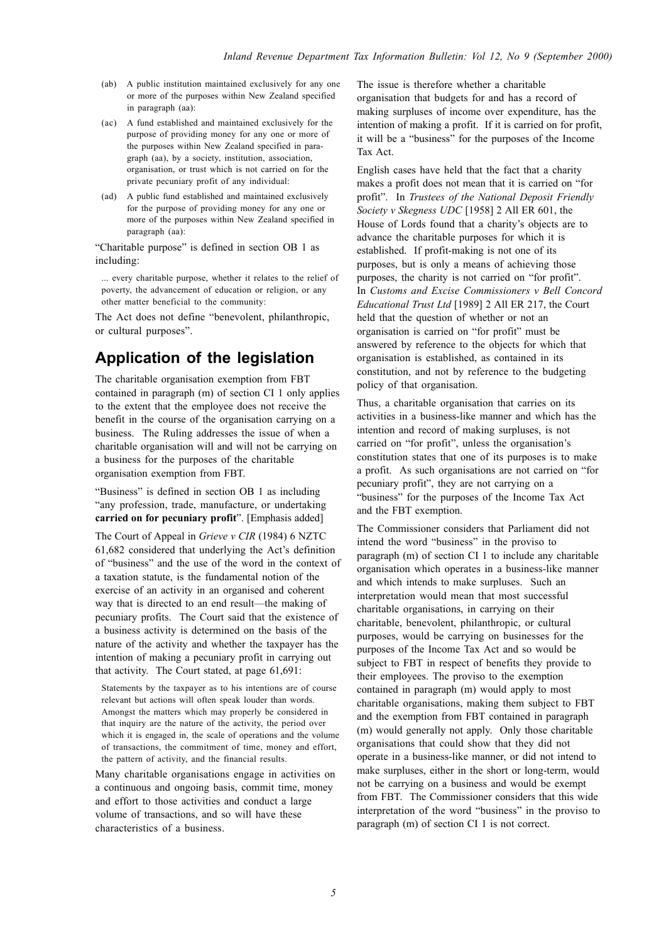- (ab) A public institution maintained exclusively for any one or more of the purposes within New Zealand specified in paragraph (aa):
- (ac) A fund established and maintained exclusively for the purpose of providing money for any one or more of the purposes within New Zealand specified in paragraph (aa), by a society, institution, association, organisation, or trust which is not carried on for the private pecuniary profit of any individual:
- (ad) A public fund established and maintained exclusively for the purpose of providing money for any one or more of the purposes within New Zealand specified in paragraph (aa):

"Charitable purpose" is defined in section OB 1 as including:

... every charitable purpose, whether it relates to the relief of poverty, the advancement of education or religion, or any other matter beneficial to the community:

The Act does not define "benevolent, philanthropic, or cultural purposes".

# **Application of the legislation**

The charitable organisation exemption from FBT contained in paragraph (m) of section CI 1 only applies to the extent that the employee does not receive the benefit in the course of the organisation carrying on a business. The Ruling addresses the issue of when a charitable organisation will and will not be carrying on a business for the purposes of the charitable organisation exemption from FBT.

"Business" is defined in section OB 1 as including "any profession, trade, manufacture, or undertaking **carried on for pecuniary profit**". [Emphasis added]

The Court of Appeal in *Grieve v CIR* (1984) 6 NZTC 61,682 considered that underlying the Act's definition of "business" and the use of the word in the context of a taxation statute, is the fundamental notion of the exercise of an activity in an organised and coherent way that is directed to an end result—the making of pecuniary profits. The Court said that the existence of a business activity is determined on the basis of the nature of the activity and whether the taxpayer has the intention of making a pecuniary profit in carrying out that activity. The Court stated, at page 61,691:

Statements by the taxpayer as to his intentions are of course relevant but actions will often speak louder than words. Amongst the matters which may properly be considered in that inquiry are the nature of the activity, the period over which it is engaged in, the scale of operations and the volume of transactions, the commitment of time, money and effort, the pattern of activity, and the financial results.

Many charitable organisations engage in activities on a continuous and ongoing basis, commit time, money and effort to those activities and conduct a large volume of transactions, and so will have these characteristics of a business.

The issue is therefore whether a charitable organisation that budgets for and has a record of making surpluses of income over expenditure, has the intention of making a profit. If it is carried on for profit, it will be a "business" for the purposes of the Income Tax Act.

English cases have held that the fact that a charity makes a profit does not mean that it is carried on "for profit". In *Trustees of the National Deposit Friendly Society v Skegness UDC* [1958] 2 All ER 601, the House of Lords found that a charity's objects are to advance the charitable purposes for which it is established. If profit-making is not one of its purposes, but is only a means of achieving those purposes, the charity is not carried on "for profit". In *Customs and Excise Commissioners v Bell Concord Educational Trust Ltd* [1989] 2 All ER 217, the Court held that the question of whether or not an organisation is carried on "for profit" must be answered by reference to the objects for which that organisation is established, as contained in its constitution, and not by reference to the budgeting policy of that organisation.

Thus, a charitable organisation that carries on its activities in a business-like manner and which has the intention and record of making surpluses, is not carried on "for profit", unless the organisation's constitution states that one of its purposes is to make a profit. As such organisations are not carried on "for pecuniary profit", they are not carrying on a "business" for the purposes of the Income Tax Act and the FBT exemption.

The Commissioner considers that Parliament did not intend the word "business" in the proviso to paragraph (m) of section CI 1 to include any charitable organisation which operates in a business-like manner and which intends to make surpluses. Such an interpretation would mean that most successful charitable organisations, in carrying on their charitable, benevolent, philanthropic, or cultural purposes, would be carrying on businesses for the purposes of the Income Tax Act and so would be subject to FBT in respect of benefits they provide to their employees. The proviso to the exemption contained in paragraph (m) would apply to most charitable organisations, making them subject to FBT and the exemption from FBT contained in paragraph (m) would generally not apply. Only those charitable organisations that could show that they did not operate in a business-like manner, or did not intend to make surpluses, either in the short or long-term, would not be carrying on a business and would be exempt from FBT. The Commissioner considers that this wide interpretation of the word "business" in the proviso to paragraph (m) of section CI 1 is not correct.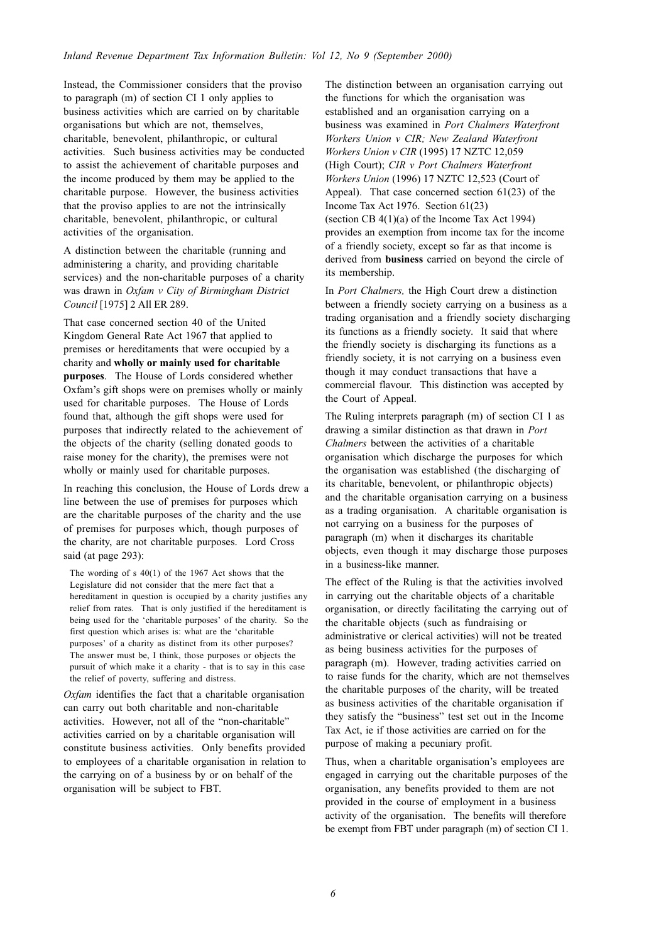Instead, the Commissioner considers that the proviso to paragraph (m) of section CI 1 only applies to business activities which are carried on by charitable organisations but which are not, themselves, charitable, benevolent, philanthropic, or cultural activities. Such business activities may be conducted to assist the achievement of charitable purposes and the income produced by them may be applied to the charitable purpose. However, the business activities that the proviso applies to are not the intrinsically charitable, benevolent, philanthropic, or cultural activities of the organisation.

A distinction between the charitable (running and administering a charity, and providing charitable services) and the non-charitable purposes of a charity was drawn in *Oxfam v City of Birmingham District Council* [1975] 2 All ER 289.

That case concerned section 40 of the United Kingdom General Rate Act 1967 that applied to premises or hereditaments that were occupied by a charity and **wholly or mainly used for charitable purposes**. The House of Lords considered whether Oxfam's gift shops were on premises wholly or mainly used for charitable purposes. The House of Lords found that, although the gift shops were used for purposes that indirectly related to the achievement of the objects of the charity (selling donated goods to raise money for the charity), the premises were not wholly or mainly used for charitable purposes.

In reaching this conclusion, the House of Lords drew a line between the use of premises for purposes which are the charitable purposes of the charity and the use of premises for purposes which, though purposes of the charity, are not charitable purposes. Lord Cross said (at page 293):

The wording of s 40(1) of the 1967 Act shows that the Legislature did not consider that the mere fact that a hereditament in question is occupied by a charity justifies any relief from rates. That is only justified if the hereditament is being used for the 'charitable purposes' of the charity. So the first question which arises is: what are the 'charitable purposes' of a charity as distinct from its other purposes? The answer must be, I think, those purposes or objects the pursuit of which make it a charity - that is to say in this case the relief of poverty, suffering and distress.

*Oxfam* identifies the fact that a charitable organisation can carry out both charitable and non-charitable activities. However, not all of the "non-charitable" activities carried on by a charitable organisation will constitute business activities. Only benefits provided to employees of a charitable organisation in relation to the carrying on of a business by or on behalf of the organisation will be subject to FBT.

The distinction between an organisation carrying out the functions for which the organisation was established and an organisation carrying on a business was examined in *Port Chalmers Waterfront Workers Union v CIR; New Zealand Waterfront Workers Union v CIR* (1995) 17 NZTC 12,059 (High Court); *CIR v Port Chalmers Waterfront Workers Union* (1996) 17 NZTC 12,523 (Court of Appeal). That case concerned section 61(23) of the Income Tax Act 1976. Section 61(23) (section CB 4(1)(a) of the Income Tax Act 1994) provides an exemption from income tax for the income of a friendly society, except so far as that income is derived from **business** carried on beyond the circle of its membership.

In *Port Chalmers,* the High Court drew a distinction between a friendly society carrying on a business as a trading organisation and a friendly society discharging its functions as a friendly society. It said that where the friendly society is discharging its functions as a friendly society, it is not carrying on a business even though it may conduct transactions that have a commercial flavour. This distinction was accepted by the Court of Appeal.

The Ruling interprets paragraph (m) of section CI 1 as drawing a similar distinction as that drawn in *Port Chalmers* between the activities of a charitable organisation which discharge the purposes for which the organisation was established (the discharging of its charitable, benevolent, or philanthropic objects) and the charitable organisation carrying on a business as a trading organisation. A charitable organisation is not carrying on a business for the purposes of paragraph (m) when it discharges its charitable objects, even though it may discharge those purposes in a business-like manner.

The effect of the Ruling is that the activities involved in carrying out the charitable objects of a charitable organisation, or directly facilitating the carrying out of the charitable objects (such as fundraising or administrative or clerical activities) will not be treated as being business activities for the purposes of paragraph (m). However, trading activities carried on to raise funds for the charity, which are not themselves the charitable purposes of the charity, will be treated as business activities of the charitable organisation if they satisfy the "business" test set out in the Income Tax Act, ie if those activities are carried on for the purpose of making a pecuniary profit.

Thus, when a charitable organisation's employees are engaged in carrying out the charitable purposes of the organisation, any benefits provided to them are not provided in the course of employment in a business activity of the organisation. The benefits will therefore be exempt from FBT under paragraph (m) of section CI 1.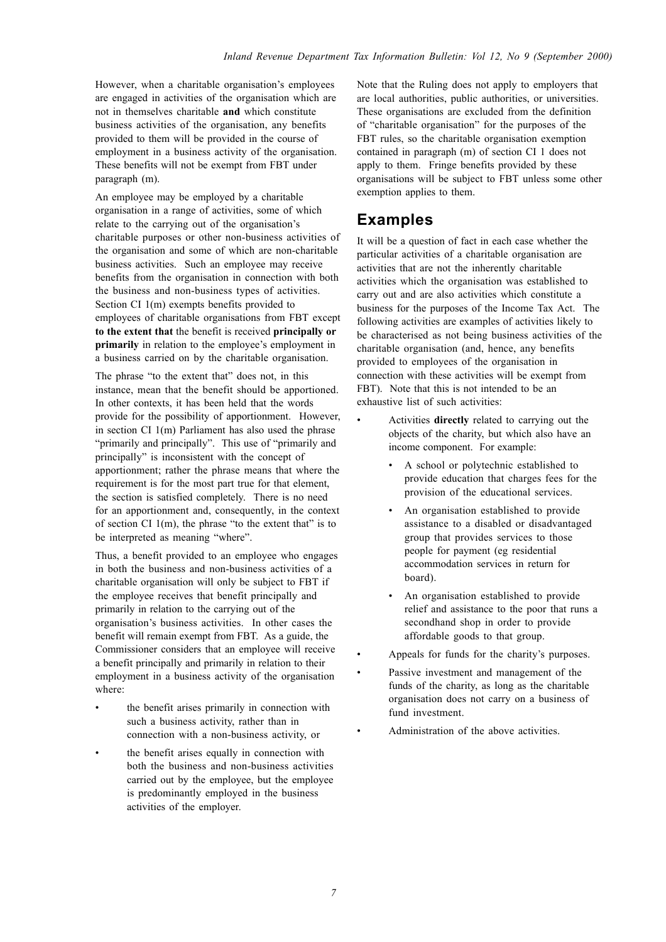However, when a charitable organisation's employees are engaged in activities of the organisation which are not in themselves charitable **and** which constitute business activities of the organisation, any benefits provided to them will be provided in the course of employment in a business activity of the organisation. These benefits will not be exempt from FBT under paragraph (m).

An employee may be employed by a charitable organisation in a range of activities, some of which relate to the carrying out of the organisation's charitable purposes or other non-business activities of the organisation and some of which are non-charitable business activities. Such an employee may receive benefits from the organisation in connection with both the business and non-business types of activities. Section CI 1(m) exempts benefits provided to employees of charitable organisations from FBT except **to the extent that** the benefit is received **principally or** primarily in relation to the employee's employment in a business carried on by the charitable organisation.

The phrase "to the extent that" does not, in this instance, mean that the benefit should be apportioned. In other contexts, it has been held that the words provide for the possibility of apportionment. However, in section CI 1(m) Parliament has also used the phrase "primarily and principally". This use of "primarily and principally" is inconsistent with the concept of apportionment; rather the phrase means that where the requirement is for the most part true for that element, the section is satisfied completely. There is no need for an apportionment and, consequently, in the context of section CI  $1(m)$ , the phrase "to the extent that" is to be interpreted as meaning "where".

Thus, a benefit provided to an employee who engages in both the business and non-business activities of a charitable organisation will only be subject to FBT if the employee receives that benefit principally and primarily in relation to the carrying out of the organisation's business activities. In other cases the benefit will remain exempt from FBT. As a guide, the Commissioner considers that an employee will receive a benefit principally and primarily in relation to their employment in a business activity of the organisation where:

- the benefit arises primarily in connection with such a business activity, rather than in connection with a non-business activity, or
- the benefit arises equally in connection with both the business and non-business activities carried out by the employee, but the employee is predominantly employed in the business activities of the employer.

Note that the Ruling does not apply to employers that are local authorities, public authorities, or universities. These organisations are excluded from the definition of "charitable organisation" for the purposes of the FBT rules, so the charitable organisation exemption contained in paragraph (m) of section CI 1 does not apply to them. Fringe benefits provided by these organisations will be subject to FBT unless some other exemption applies to them.

## **Examples**

It will be a question of fact in each case whether the particular activities of a charitable organisation are activities that are not the inherently charitable activities which the organisation was established to carry out and are also activities which constitute a business for the purposes of the Income Tax Act. The following activities are examples of activities likely to be characterised as not being business activities of the charitable organisation (and, hence, any benefits provided to employees of the organisation in connection with these activities will be exempt from FBT). Note that this is not intended to be an exhaustive list of such activities:

- Activities **directly** related to carrying out the objects of the charity, but which also have an income component. For example:
	- A school or polytechnic established to provide education that charges fees for the provision of the educational services.
	- An organisation established to provide assistance to a disabled or disadvantaged group that provides services to those people for payment (eg residential accommodation services in return for board).
	- An organisation established to provide relief and assistance to the poor that runs a secondhand shop in order to provide affordable goods to that group.
- Appeals for funds for the charity's purposes.
- Passive investment and management of the funds of the charity, as long as the charitable organisation does not carry on a business of fund investment.
- Administration of the above activities.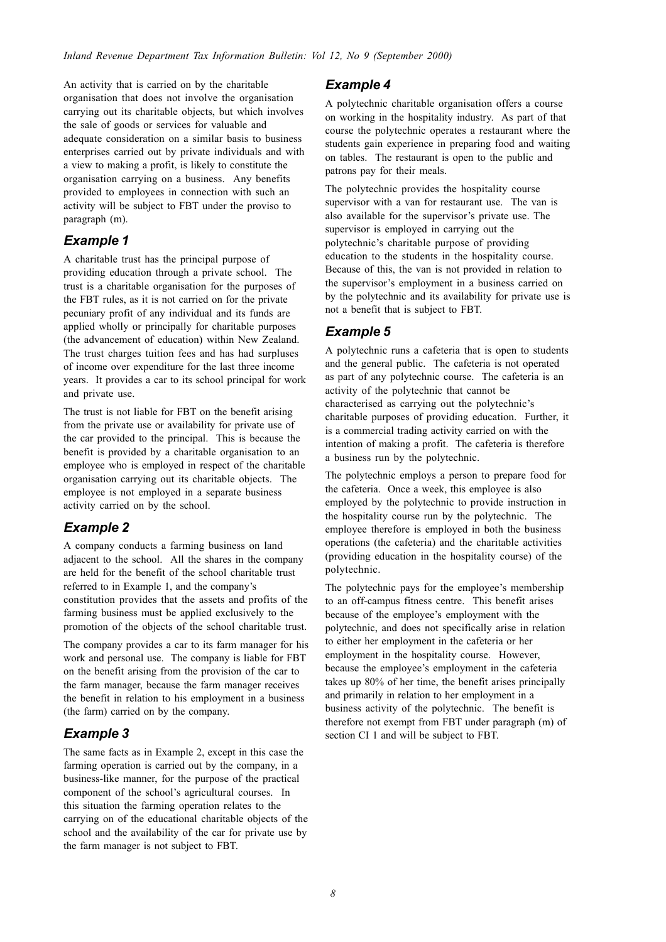An activity that is carried on by the charitable organisation that does not involve the organisation carrying out its charitable objects, but which involves the sale of goods or services for valuable and adequate consideration on a similar basis to business enterprises carried out by private individuals and with a view to making a profit, is likely to constitute the organisation carrying on a business. Any benefits provided to employees in connection with such an activity will be subject to FBT under the proviso to paragraph (m).

## *Example 1*

A charitable trust has the principal purpose of providing education through a private school. The trust is a charitable organisation for the purposes of the FBT rules, as it is not carried on for the private pecuniary profit of any individual and its funds are applied wholly or principally for charitable purposes (the advancement of education) within New Zealand. The trust charges tuition fees and has had surpluses of income over expenditure for the last three income years. It provides a car to its school principal for work and private use.

The trust is not liable for FBT on the benefit arising from the private use or availability for private use of the car provided to the principal. This is because the benefit is provided by a charitable organisation to an employee who is employed in respect of the charitable organisation carrying out its charitable objects. The employee is not employed in a separate business activity carried on by the school.

## *Example 2*

A company conducts a farming business on land adjacent to the school. All the shares in the company are held for the benefit of the school charitable trust referred to in Example 1, and the company's constitution provides that the assets and profits of the farming business must be applied exclusively to the promotion of the objects of the school charitable trust.

The company provides a car to its farm manager for his work and personal use. The company is liable for FBT on the benefit arising from the provision of the car to the farm manager, because the farm manager receives the benefit in relation to his employment in a business (the farm) carried on by the company.

## *Example 3*

The same facts as in Example 2, except in this case the farming operation is carried out by the company, in a business-like manner, for the purpose of the practical component of the school's agricultural courses. In this situation the farming operation relates to the carrying on of the educational charitable objects of the school and the availability of the car for private use by the farm manager is not subject to FBT.

#### *Example 4*

A polytechnic charitable organisation offers a course on working in the hospitality industry. As part of that course the polytechnic operates a restaurant where the students gain experience in preparing food and waiting on tables. The restaurant is open to the public and patrons pay for their meals.

The polytechnic provides the hospitality course supervisor with a van for restaurant use. The van is also available for the supervisor's private use. The supervisor is employed in carrying out the polytechnic's charitable purpose of providing education to the students in the hospitality course. Because of this, the van is not provided in relation to the supervisor's employment in a business carried on by the polytechnic and its availability for private use is not a benefit that is subject to FBT.

#### *Example 5*

A polytechnic runs a cafeteria that is open to students and the general public. The cafeteria is not operated as part of any polytechnic course. The cafeteria is an activity of the polytechnic that cannot be characterised as carrying out the polytechnic's charitable purposes of providing education. Further, it is a commercial trading activity carried on with the intention of making a profit. The cafeteria is therefore a business run by the polytechnic.

The polytechnic employs a person to prepare food for the cafeteria. Once a week, this employee is also employed by the polytechnic to provide instruction in the hospitality course run by the polytechnic. The employee therefore is employed in both the business operations (the cafeteria) and the charitable activities (providing education in the hospitality course) of the polytechnic.

The polytechnic pays for the employee's membership to an off-campus fitness centre. This benefit arises because of the employee's employment with the polytechnic, and does not specifically arise in relation to either her employment in the cafeteria or her employment in the hospitality course. However, because the employee's employment in the cafeteria takes up 80% of her time, the benefit arises principally and primarily in relation to her employment in a business activity of the polytechnic. The benefit is therefore not exempt from FBT under paragraph (m) of section CI 1 and will be subject to FBT.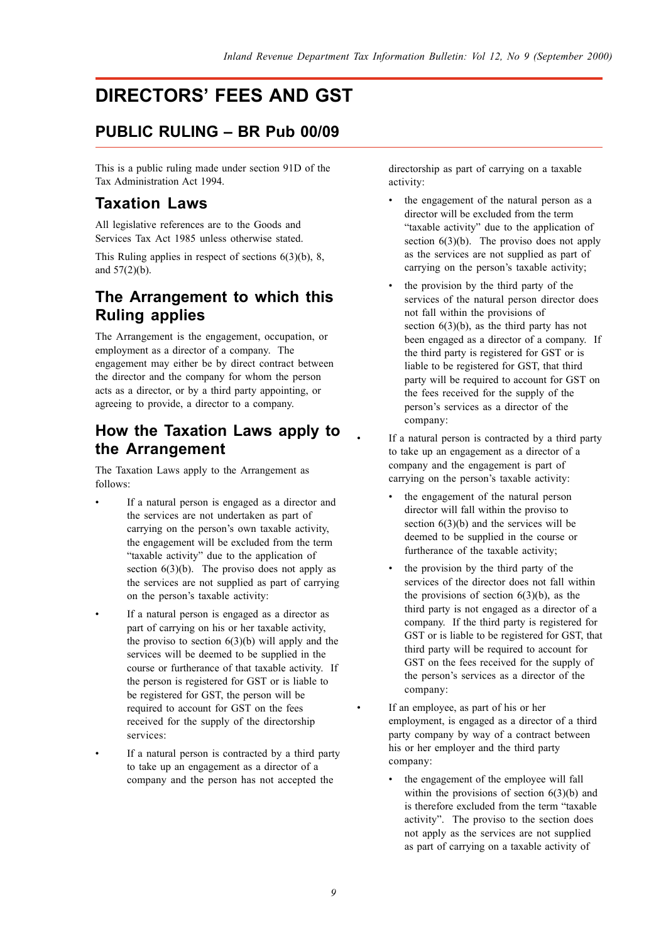# **DIRECTORS' FEES AND GST**

# **PUBLIC RULING – BR Pub 00/09**

This is a public ruling made under section 91D of the Tax Administration Act 1994.

# **Taxation Laws**

All legislative references are to the Goods and Services Tax Act 1985 unless otherwise stated.

This Ruling applies in respect of sections 6(3)(b), 8, and 57(2)(b).

# **The Arrangement to which this Ruling applies**

The Arrangement is the engagement, occupation, or employment as a director of a company. The engagement may either be by direct contract between the director and the company for whom the person acts as a director, or by a third party appointing, or agreeing to provide, a director to a company.

# **How the Taxation Laws apply to the Arrangement**

The Taxation Laws apply to the Arrangement as follows:

- If a natural person is engaged as a director and the services are not undertaken as part of carrying on the person's own taxable activity, the engagement will be excluded from the term "taxable activity" due to the application of section  $6(3)(b)$ . The proviso does not apply as the services are not supplied as part of carrying on the person's taxable activity:
- If a natural person is engaged as a director as part of carrying on his or her taxable activity, the proviso to section  $6(3)(b)$  will apply and the services will be deemed to be supplied in the course or furtherance of that taxable activity. If the person is registered for GST or is liable to be registered for GST, the person will be required to account for GST on the fees received for the supply of the directorship services:
- If a natural person is contracted by a third party to take up an engagement as a director of a company and the person has not accepted the

directorship as part of carrying on a taxable activity:

- the engagement of the natural person as a director will be excluded from the term "taxable activity" due to the application of section  $6(3)(b)$ . The proviso does not apply as the services are not supplied as part of carrying on the person's taxable activity;
- the provision by the third party of the services of the natural person director does not fall within the provisions of section  $6(3)(b)$ , as the third party has not been engaged as a director of a company. If the third party is registered for GST or is liable to be registered for GST, that third party will be required to account for GST on the fees received for the supply of the person's services as a director of the company:

If a natural person is contracted by a third party to take up an engagement as a director of a company and the engagement is part of carrying on the person's taxable activity:

- the engagement of the natural person director will fall within the proviso to section 6(3)(b) and the services will be deemed to be supplied in the course or furtherance of the taxable activity;
- the provision by the third party of the services of the director does not fall within the provisions of section  $6(3)(b)$ , as the third party is not engaged as a director of a company. If the third party is registered for GST or is liable to be registered for GST, that third party will be required to account for GST on the fees received for the supply of the person's services as a director of the company:

If an employee, as part of his or her employment, is engaged as a director of a third party company by way of a contract between his or her employer and the third party company:

• the engagement of the employee will fall within the provisions of section 6(3)(b) and is therefore excluded from the term "taxable activity". The proviso to the section does not apply as the services are not supplied as part of carrying on a taxable activity of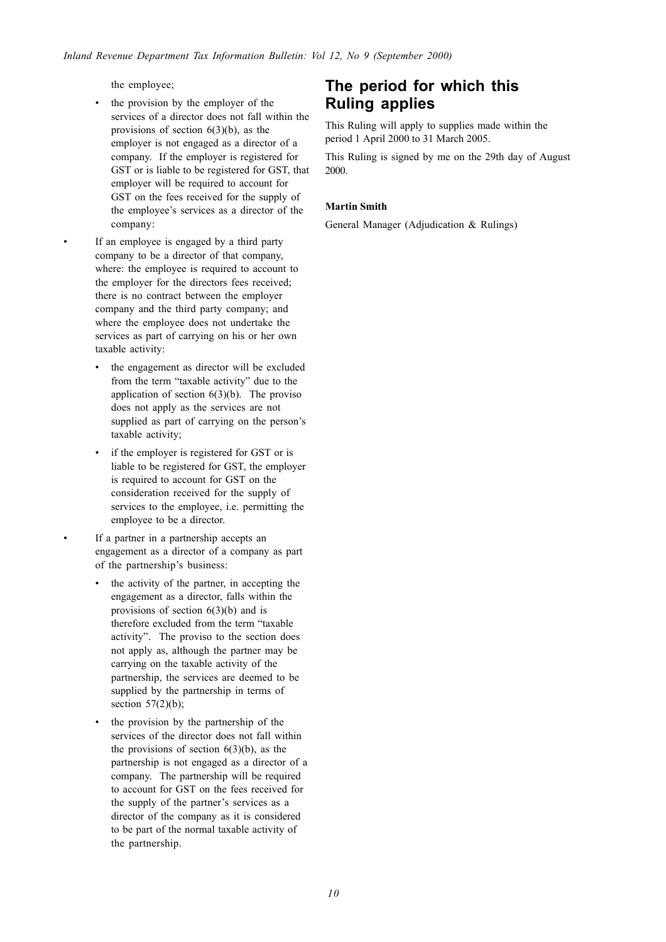the employee;

- the provision by the employer of the services of a director does not fall within the provisions of section 6(3)(b), as the employer is not engaged as a director of a company. If the employer is registered for GST or is liable to be registered for GST, that employer will be required to account for GST on the fees received for the supply of the employee's services as a director of the company:
- If an employee is engaged by a third party company to be a director of that company, where: the employee is required to account to the employer for the directors fees received; there is no contract between the employer company and the third party company; and where the employee does not undertake the services as part of carrying on his or her own taxable activity:
	- the engagement as director will be excluded from the term "taxable activity" due to the application of section  $6(3)(b)$ . The proviso does not apply as the services are not supplied as part of carrying on the person's taxable activity;
	- if the employer is registered for GST or is liable to be registered for GST, the employer is required to account for GST on the consideration received for the supply of services to the employee, i.e. permitting the employee to be a director.
	- If a partner in a partnership accepts an engagement as a director of a company as part of the partnership's business:
	- the activity of the partner, in accepting the engagement as a director, falls within the provisions of section 6(3)(b) and is therefore excluded from the term "taxable activity". The proviso to the section does not apply as, although the partner may be carrying on the taxable activity of the partnership, the services are deemed to be supplied by the partnership in terms of section  $57(2)(b)$ ;
	- the provision by the partnership of the services of the director does not fall within the provisions of section  $6(3)(b)$ , as the partnership is not engaged as a director of a company. The partnership will be required to account for GST on the fees received for the supply of the partner's services as a director of the company as it is considered to be part of the normal taxable activity of the partnership.

## **The period for which this Ruling applies**

This Ruling will apply to supplies made within the period 1 April 2000 to 31 March 2005.

This Ruling is signed by me on the 29th day of August 2000.

#### **Martin Smith**

General Manager (Adjudication & Rulings)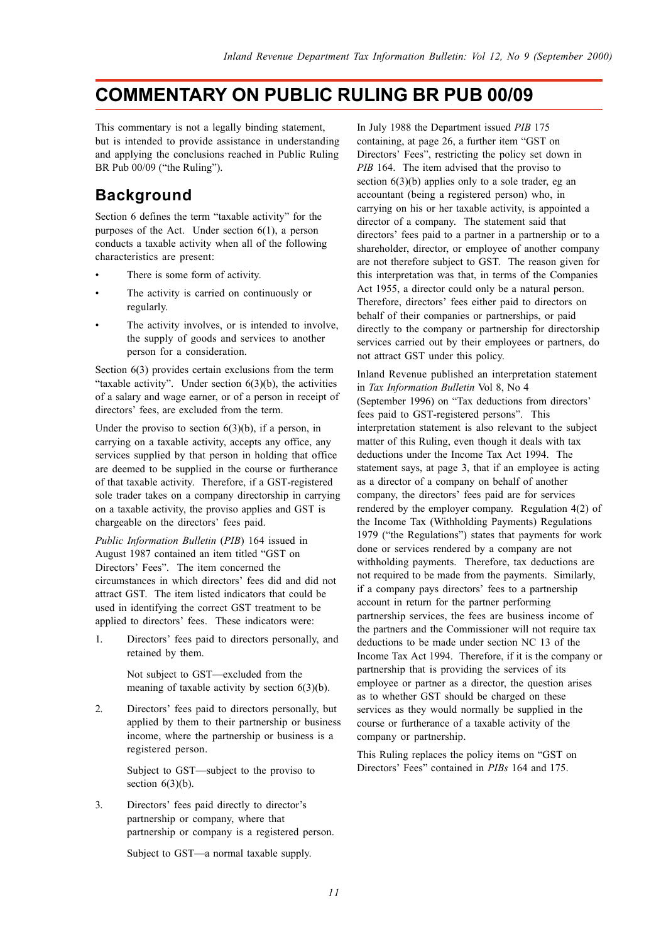# **COMMENTARY ON PUBLIC RULING BR PUB 00/09**

This commentary is not a legally binding statement, but is intended to provide assistance in understanding and applying the conclusions reached in Public Ruling BR Pub 00/09 ("the Ruling").

# **Background**

Section 6 defines the term "taxable activity" for the purposes of the Act. Under section 6(1), a person conducts a taxable activity when all of the following characteristics are present:

- There is some form of activity.
- The activity is carried on continuously or regularly.
- The activity involves, or is intended to involve, the supply of goods and services to another person for a consideration.

Section 6(3) provides certain exclusions from the term "taxable activity". Under section  $6(3)(b)$ , the activities of a salary and wage earner, or of a person in receipt of directors' fees, are excluded from the term.

Under the proviso to section  $6(3)(b)$ , if a person, in carrying on a taxable activity, accepts any office, any services supplied by that person in holding that office are deemed to be supplied in the course or furtherance of that taxable activity. Therefore, if a GST-registered sole trader takes on a company directorship in carrying on a taxable activity, the proviso applies and GST is chargeable on the directors' fees paid.

*Public Information Bulletin* (*PIB*) 164 issued in August 1987 contained an item titled "GST on Directors' Fees". The item concerned the circumstances in which directors' fees did and did not attract GST. The item listed indicators that could be used in identifying the correct GST treatment to be applied to directors' fees. These indicators were:

1. Directors' fees paid to directors personally, and retained by them.

> Not subject to GST—excluded from the meaning of taxable activity by section 6(3)(b).

2. Directors' fees paid to directors personally, but applied by them to their partnership or business income, where the partnership or business is a registered person.

> Subject to GST—subject to the proviso to section  $6(3)(b)$ .

3. Directors' fees paid directly to director's partnership or company, where that partnership or company is a registered person.

Subject to GST—a normal taxable supply.

In July 1988 the Department issued *PIB* 175 containing, at page 26, a further item "GST on Directors' Fees", restricting the policy set down in *PIB* 164. The item advised that the proviso to section  $6(3)(b)$  applies only to a sole trader, eg an accountant (being a registered person) who, in carrying on his or her taxable activity, is appointed a director of a company. The statement said that directors' fees paid to a partner in a partnership or to a shareholder, director, or employee of another company are not therefore subject to GST. The reason given for this interpretation was that, in terms of the Companies Act 1955, a director could only be a natural person. Therefore, directors' fees either paid to directors on behalf of their companies or partnerships, or paid directly to the company or partnership for directorship services carried out by their employees or partners, do not attract GST under this policy.

Inland Revenue published an interpretation statement in *Tax Information Bulletin* Vol 8, No 4 (September 1996) on "Tax deductions from directors' fees paid to GST-registered persons". This interpretation statement is also relevant to the subject matter of this Ruling, even though it deals with tax deductions under the Income Tax Act 1994. The statement says, at page 3, that if an employee is acting as a director of a company on behalf of another company, the directors' fees paid are for services rendered by the employer company. Regulation 4(2) of the Income Tax (Withholding Payments) Regulations 1979 ("the Regulations") states that payments for work done or services rendered by a company are not withholding payments. Therefore, tax deductions are not required to be made from the payments. Similarly, if a company pays directors' fees to a partnership account in return for the partner performing partnership services, the fees are business income of the partners and the Commissioner will not require tax deductions to be made under section NC 13 of the Income Tax Act 1994. Therefore, if it is the company or partnership that is providing the services of its employee or partner as a director, the question arises as to whether GST should be charged on these services as they would normally be supplied in the course or furtherance of a taxable activity of the company or partnership.

This Ruling replaces the policy items on "GST on Directors' Fees" contained in *PIBs* 164 and 175.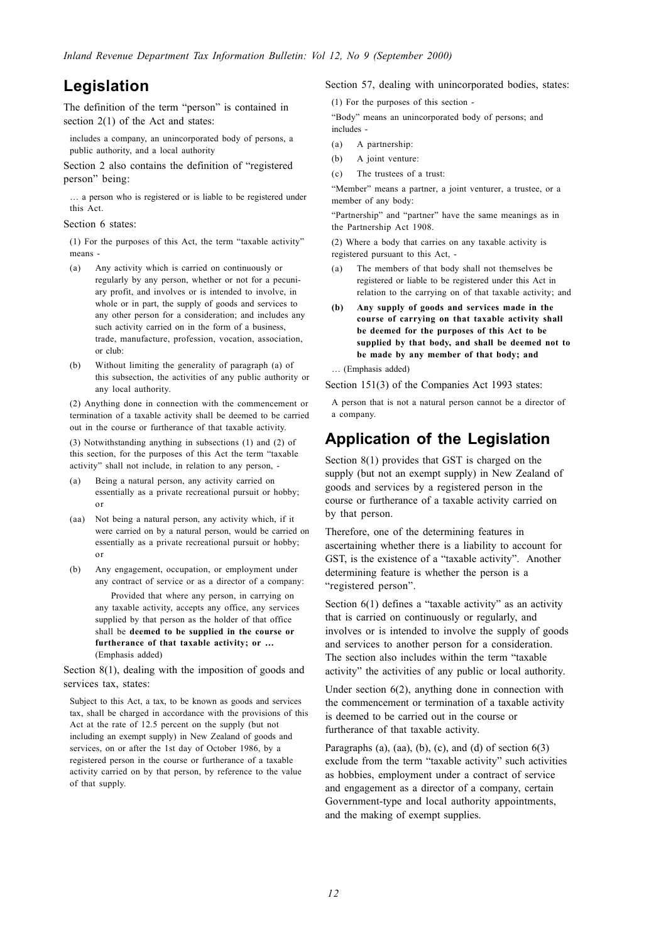## **Legislation**

The definition of the term "person" is contained in section 2(1) of the Act and states:

includes a company, an unincorporated body of persons, a public authority, and a local authority

Section 2 also contains the definition of "registered person" being:

… a person who is registered or is liable to be registered under this Act.

Section 6 states:

(1) For the purposes of this Act, the term "taxable activity" means -

- (a) Any activity which is carried on continuously or regularly by any person, whether or not for a pecuniary profit, and involves or is intended to involve, in whole or in part, the supply of goods and services to any other person for a consideration; and includes any such activity carried on in the form of a business, trade, manufacture, profession, vocation, association, or club:
- (b) Without limiting the generality of paragraph (a) of this subsection, the activities of any public authority or any local authority.

(2) Anything done in connection with the commencement or termination of a taxable activity shall be deemed to be carried out in the course or furtherance of that taxable activity.

(3) Notwithstanding anything in subsections (1) and (2) of this section, for the purposes of this Act the term "taxable activity" shall not include, in relation to any person, -

- (a) Being a natural person, any activity carried on essentially as a private recreational pursuit or hobby; or
- (aa) Not being a natural person, any activity which, if it were carried on by a natural person, would be carried on essentially as a private recreational pursuit or hobby; or
- (b) Any engagement, occupation, or employment under any contract of service or as a director of a company:

Provided that where any person, in carrying on any taxable activity, accepts any office, any services supplied by that person as the holder of that office shall be **deemed to be supplied in the course or furtherance of that taxable activity; or …** (Emphasis added)

Section 8(1), dealing with the imposition of goods and services tax, states:

Subject to this Act, a tax, to be known as goods and services tax, shall be charged in accordance with the provisions of this Act at the rate of 12.5 percent on the supply (but not including an exempt supply) in New Zealand of goods and services, on or after the 1st day of October 1986, by a registered person in the course or furtherance of a taxable activity carried on by that person, by reference to the value of that supply.

#### Section 57, dealing with unincorporated bodies, states:

(1) For the purposes of this section -

"Body" means an unincorporated body of persons; and includes -

- (a) A partnership:
- (b) A joint venture:
- (c) The trustees of a trust:

"Member" means a partner, a joint venturer, a trustee, or a member of any body:

"Partnership" and "partner" have the same meanings as in the Partnership Act 1908.

(2) Where a body that carries on any taxable activity is registered pursuant to this Act, -

- (a) The members of that body shall not themselves be registered or liable to be registered under this Act in relation to the carrying on of that taxable activity; and
- **(b) Any supply of goods and services made in the course of carrying on that taxable activity shall be deemed for the purposes of this Act to be supplied by that body, and shall be deemed not to be made by any member of that body; and**

… (Emphasis added)

Section 151(3) of the Companies Act 1993 states:

A person that is not a natural person cannot be a director of a company.

## **Application of the Legislation**

Section 8(1) provides that GST is charged on the supply (but not an exempt supply) in New Zealand of goods and services by a registered person in the course or furtherance of a taxable activity carried on by that person.

Therefore, one of the determining features in ascertaining whether there is a liability to account for GST, is the existence of a "taxable activity". Another determining feature is whether the person is a "registered person".

Section 6(1) defines a "taxable activity" as an activity that is carried on continuously or regularly, and involves or is intended to involve the supply of goods and services to another person for a consideration. The section also includes within the term "taxable activity" the activities of any public or local authority.

Under section 6(2), anything done in connection with the commencement or termination of a taxable activity is deemed to be carried out in the course or furtherance of that taxable activity.

Paragraphs (a), (aa), (b), (c), and (d) of section  $6(3)$ exclude from the term "taxable activity" such activities as hobbies, employment under a contract of service and engagement as a director of a company, certain Government-type and local authority appointments, and the making of exempt supplies.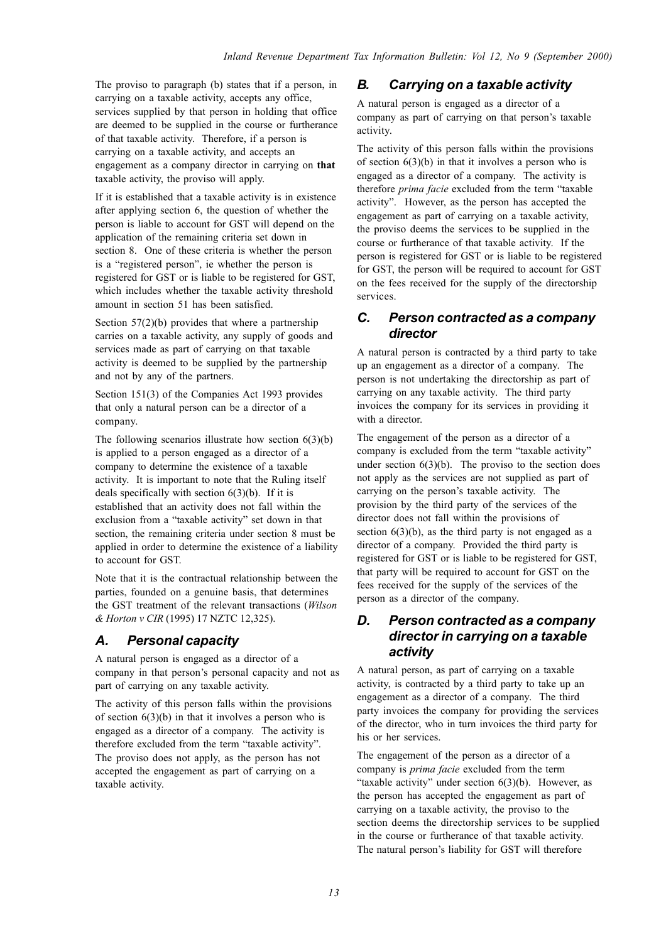The proviso to paragraph (b) states that if a person, in carrying on a taxable activity, accepts any office, services supplied by that person in holding that office are deemed to be supplied in the course or furtherance of that taxable activity. Therefore, if a person is carrying on a taxable activity, and accepts an engagement as a company director in carrying on **that** taxable activity, the proviso will apply.

If it is established that a taxable activity is in existence after applying section 6, the question of whether the person is liable to account for GST will depend on the application of the remaining criteria set down in section 8. One of these criteria is whether the person is a "registered person", ie whether the person is registered for GST or is liable to be registered for GST, which includes whether the taxable activity threshold amount in section 51 has been satisfied.

Section  $57(2)(b)$  provides that where a partnership carries on a taxable activity, any supply of goods and services made as part of carrying on that taxable activity is deemed to be supplied by the partnership and not by any of the partners.

Section 151(3) of the Companies Act 1993 provides that only a natural person can be a director of a company.

The following scenarios illustrate how section  $6(3)(b)$ is applied to a person engaged as a director of a company to determine the existence of a taxable activity. It is important to note that the Ruling itself deals specifically with section  $6(3)(b)$ . If it is established that an activity does not fall within the exclusion from a "taxable activity" set down in that section, the remaining criteria under section 8 must be applied in order to determine the existence of a liability to account for GST.

Note that it is the contractual relationship between the parties, founded on a genuine basis, that determines the GST treatment of the relevant transactions (*Wilson & Horton v CIR* (1995) 17 NZTC 12,325).

## *A. Personal capacity*

A natural person is engaged as a director of a company in that person's personal capacity and not as part of carrying on any taxable activity.

The activity of this person falls within the provisions of section 6(3)(b) in that it involves a person who is engaged as a director of a company. The activity is therefore excluded from the term "taxable activity". The proviso does not apply, as the person has not accepted the engagement as part of carrying on a taxable activity.

#### *B. Carrying on a taxable activity*

A natural person is engaged as a director of a company as part of carrying on that person's taxable activity.

The activity of this person falls within the provisions of section  $6(3)(b)$  in that it involves a person who is engaged as a director of a company. The activity is therefore *prima facie* excluded from the term "taxable activity". However, as the person has accepted the engagement as part of carrying on a taxable activity, the proviso deems the services to be supplied in the course or furtherance of that taxable activity. If the person is registered for GST or is liable to be registered for GST, the person will be required to account for GST on the fees received for the supply of the directorship services.

## *C. Person contracted as a company director*

A natural person is contracted by a third party to take up an engagement as a director of a company. The person is not undertaking the directorship as part of carrying on any taxable activity. The third party invoices the company for its services in providing it with a director.

The engagement of the person as a director of a company is excluded from the term "taxable activity" under section  $6(3)(b)$ . The proviso to the section does not apply as the services are not supplied as part of carrying on the person's taxable activity. The provision by the third party of the services of the director does not fall within the provisions of section  $6(3)(b)$ , as the third party is not engaged as a director of a company. Provided the third party is registered for GST or is liable to be registered for GST, that party will be required to account for GST on the fees received for the supply of the services of the person as a director of the company.

## *D. Person contracted as a company director in carrying on a taxable activity*

A natural person, as part of carrying on a taxable activity, is contracted by a third party to take up an engagement as a director of a company. The third party invoices the company for providing the services of the director, who in turn invoices the third party for his or her services.

The engagement of the person as a director of a company is *prima facie* excluded from the term "taxable activity" under section 6(3)(b). However, as the person has accepted the engagement as part of carrying on a taxable activity, the proviso to the section deems the directorship services to be supplied in the course or furtherance of that taxable activity. The natural person's liability for GST will therefore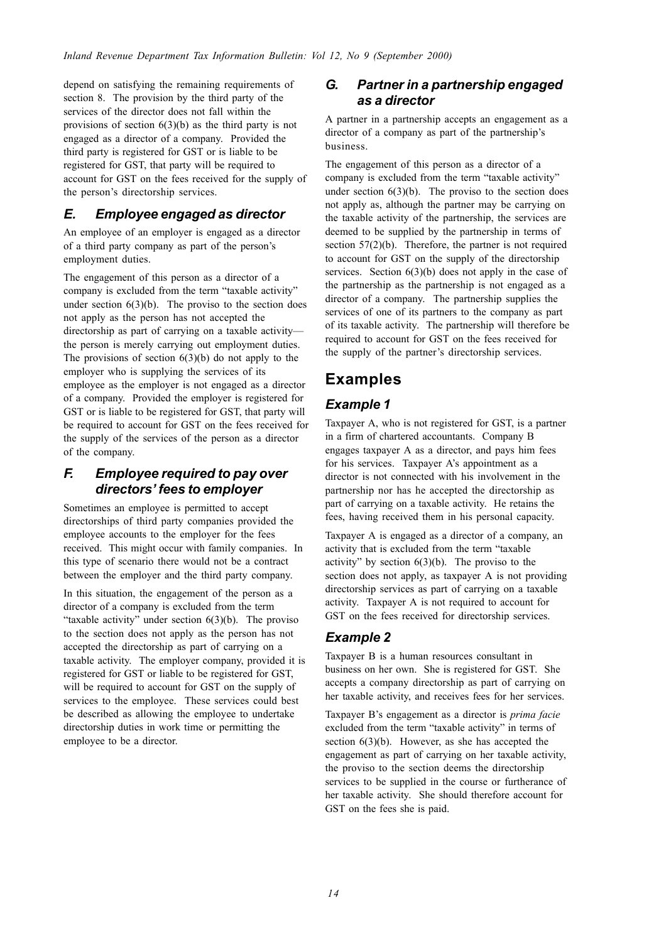depend on satisfying the remaining requirements of section 8. The provision by the third party of the services of the director does not fall within the provisions of section  $6(3)(b)$  as the third party is not engaged as a director of a company. Provided the third party is registered for GST or is liable to be registered for GST, that party will be required to account for GST on the fees received for the supply of the person's directorship services.

## *E. Employee engaged as director*

An employee of an employer is engaged as a director of a third party company as part of the person's employment duties.

The engagement of this person as a director of a company is excluded from the term "taxable activity" under section  $6(3)(b)$ . The proviso to the section does not apply as the person has not accepted the directorship as part of carrying on a taxable activity the person is merely carrying out employment duties. The provisions of section  $6(3)(b)$  do not apply to the employer who is supplying the services of its employee as the employer is not engaged as a director of a company. Provided the employer is registered for GST or is liable to be registered for GST, that party will be required to account for GST on the fees received for the supply of the services of the person as a director of the company.

## *F. Employee required to pay over directors' fees to employer*

Sometimes an employee is permitted to accept directorships of third party companies provided the employee accounts to the employer for the fees received. This might occur with family companies. In this type of scenario there would not be a contract between the employer and the third party company.

In this situation, the engagement of the person as a director of a company is excluded from the term "taxable activity" under section  $6(3)(b)$ . The proviso to the section does not apply as the person has not accepted the directorship as part of carrying on a taxable activity. The employer company, provided it is registered for GST or liable to be registered for GST, will be required to account for GST on the supply of services to the employee. These services could best be described as allowing the employee to undertake directorship duties in work time or permitting the employee to be a director.

## *G. Partner in a partnership engaged as a director*

A partner in a partnership accepts an engagement as a director of a company as part of the partnership's business.

The engagement of this person as a director of a company is excluded from the term "taxable activity" under section  $6(3)(b)$ . The proviso to the section does not apply as, although the partner may be carrying on the taxable activity of the partnership, the services are deemed to be supplied by the partnership in terms of section 57(2)(b). Therefore, the partner is not required to account for GST on the supply of the directorship services. Section  $6(3)(b)$  does not apply in the case of the partnership as the partnership is not engaged as a director of a company. The partnership supplies the services of one of its partners to the company as part of its taxable activity. The partnership will therefore be required to account for GST on the fees received for the supply of the partner's directorship services.

# **Examples**

## *Example 1*

Taxpayer A, who is not registered for GST, is a partner in a firm of chartered accountants. Company B engages taxpayer A as a director, and pays him fees for his services. Taxpayer A's appointment as a director is not connected with his involvement in the partnership nor has he accepted the directorship as part of carrying on a taxable activity. He retains the fees, having received them in his personal capacity.

Taxpayer A is engaged as a director of a company, an activity that is excluded from the term "taxable activity" by section 6(3)(b). The proviso to the section does not apply, as taxpayer A is not providing directorship services as part of carrying on a taxable activity. Taxpayer A is not required to account for GST on the fees received for directorship services.

## *Example 2*

Taxpayer B is a human resources consultant in business on her own. She is registered for GST. She accepts a company directorship as part of carrying on her taxable activity, and receives fees for her services.

Taxpayer B's engagement as a director is *prima facie* excluded from the term "taxable activity" in terms of section 6(3)(b). However, as she has accepted the engagement as part of carrying on her taxable activity, the proviso to the section deems the directorship services to be supplied in the course or furtherance of her taxable activity. She should therefore account for GST on the fees she is paid.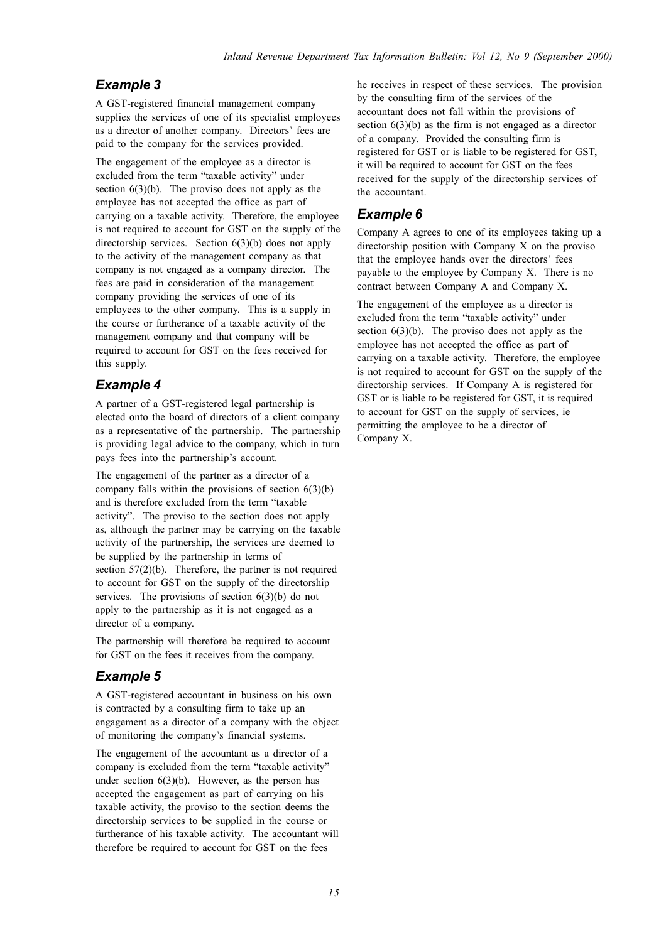## *Example 3*

A GST-registered financial management company supplies the services of one of its specialist employees as a director of another company. Directors' fees are paid to the company for the services provided.

The engagement of the employee as a director is excluded from the term "taxable activity" under section  $6(3)(b)$ . The proviso does not apply as the employee has not accepted the office as part of carrying on a taxable activity. Therefore, the employee is not required to account for GST on the supply of the directorship services. Section 6(3)(b) does not apply to the activity of the management company as that company is not engaged as a company director. The fees are paid in consideration of the management company providing the services of one of its employees to the other company. This is a supply in the course or furtherance of a taxable activity of the management company and that company will be required to account for GST on the fees received for this supply.

## *Example 4*

A partner of a GST-registered legal partnership is elected onto the board of directors of a client company as a representative of the partnership. The partnership is providing legal advice to the company, which in turn pays fees into the partnership's account.

The engagement of the partner as a director of a company falls within the provisions of section  $6(3)(b)$ and is therefore excluded from the term "taxable activity". The proviso to the section does not apply as, although the partner may be carrying on the taxable activity of the partnership, the services are deemed to be supplied by the partnership in terms of section  $57(2)(b)$ . Therefore, the partner is not required to account for GST on the supply of the directorship services. The provisions of section 6(3)(b) do not apply to the partnership as it is not engaged as a director of a company.

The partnership will therefore be required to account for GST on the fees it receives from the company.

## *Example 5*

A GST-registered accountant in business on his own is contracted by a consulting firm to take up an engagement as a director of a company with the object of monitoring the company's financial systems.

The engagement of the accountant as a director of a company is excluded from the term "taxable activity" under section  $6(3)(b)$ . However, as the person has accepted the engagement as part of carrying on his taxable activity, the proviso to the section deems the directorship services to be supplied in the course or furtherance of his taxable activity. The accountant will therefore be required to account for GST on the fees

he receives in respect of these services. The provision by the consulting firm of the services of the accountant does not fall within the provisions of section 6(3)(b) as the firm is not engaged as a director of a company. Provided the consulting firm is registered for GST or is liable to be registered for GST, it will be required to account for GST on the fees received for the supply of the directorship services of the accountant.

## *Example 6*

Company A agrees to one of its employees taking up a directorship position with Company X on the proviso that the employee hands over the directors' fees payable to the employee by Company X. There is no contract between Company A and Company X.

The engagement of the employee as a director is excluded from the term "taxable activity" under section  $6(3)(b)$ . The proviso does not apply as the employee has not accepted the office as part of carrying on a taxable activity. Therefore, the employee is not required to account for GST on the supply of the directorship services. If Company A is registered for GST or is liable to be registered for GST, it is required to account for GST on the supply of services, ie permitting the employee to be a director of Company X.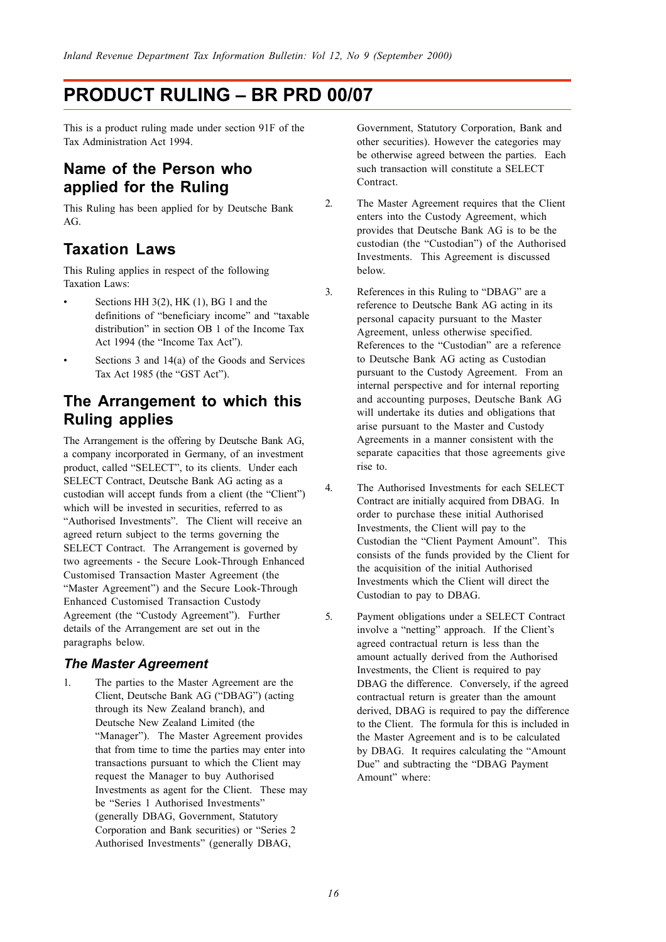# **PRODUCT RULING – BR PRD 00/07**

This is a product ruling made under section 91F of the Tax Administration Act 1994.

## **Name of the Person who applied for the Ruling**

This Ruling has been applied for by Deutsche Bank AG.

## **Taxation Laws**

This Ruling applies in respect of the following Taxation Laws:

- Sections HH  $3(2)$ , HK  $(1)$ , BG 1 and the definitions of "beneficiary income" and "taxable distribution" in section OB 1 of the Income Tax Act 1994 (the "Income Tax Act").
- Sections 3 and 14(a) of the Goods and Services Tax Act 1985 (the "GST Act").

## **The Arrangement to which this Ruling applies**

The Arrangement is the offering by Deutsche Bank AG, a company incorporated in Germany, of an investment product, called "SELECT", to its clients.Under each SELECT Contract, Deutsche Bank AG acting as a custodian will accept funds from a client (the "Client") which will be invested in securities, referred to as "Authorised Investments". The Client will receive an agreed return subject to the terms governing the SELECT Contract. The Arrangement is governed by two agreements - the Secure Look-Through Enhanced Customised Transaction Master Agreement (the "Master Agreement") and the Secure Look-Through Enhanced Customised Transaction Custody Agreement (the "Custody Agreement"). Further details of the Arrangement are set out in the paragraphs below.

#### *The Master Agreement*

1. The parties to the Master Agreement are the Client, Deutsche Bank AG ("DBAG") (acting through its New Zealand branch), and Deutsche New Zealand Limited (the "Manager"). The Master Agreement provides that from time to time the parties may enter into transactions pursuant to which the Client may request the Manager to buy Authorised Investments as agent for the Client. These may be "Series 1 Authorised Investments" (generally DBAG, Government, Statutory Corporation and Bank securities) or "Series 2 Authorised Investments" (generally DBAG,

Government, Statutory Corporation, Bank and other securities). However the categories may be otherwise agreed between the parties. Each such transaction will constitute a SELECT Contract.

2. The Master Agreement requires that the Client enters into the Custody Agreement, which provides that Deutsche Bank AG is to be the custodian (the "Custodian") of the Authorised Investments. This Agreement is discussed below.

3. References in this Ruling to "DBAG" are a reference to Deutsche Bank AG acting in its personal capacity pursuant to the Master Agreement, unless otherwise specified. References to the "Custodian" are a reference to Deutsche Bank AG acting as Custodian pursuant to the Custody Agreement. From an internal perspective and for internal reporting and accounting purposes, Deutsche Bank AG will undertake its duties and obligations that arise pursuant to the Master and Custody Agreements in a manner consistent with the separate capacities that those agreements give rise to.

4. The Authorised Investments for each SELECT Contract are initially acquired from DBAG. In order to purchase these initial Authorised Investments, the Client will pay to the Custodian the "Client Payment Amount". This consists of the funds provided by the Client for the acquisition of the initial Authorised Investments which the Client will direct the Custodian to pay to DBAG.

5. Payment obligations under a SELECT Contract involve a "netting" approach. If the Client's agreed contractual return is less than the amount actually derived from the Authorised Investments, the Client is required to pay DBAG the difference. Conversely, if the agreed contractual return is greater than the amount derived, DBAG is required to pay the difference to the Client. The formula for this is included in the Master Agreement and is to be calculated by DBAG. It requires calculating the "Amount Due" and subtracting the "DBAG Payment Amount" where: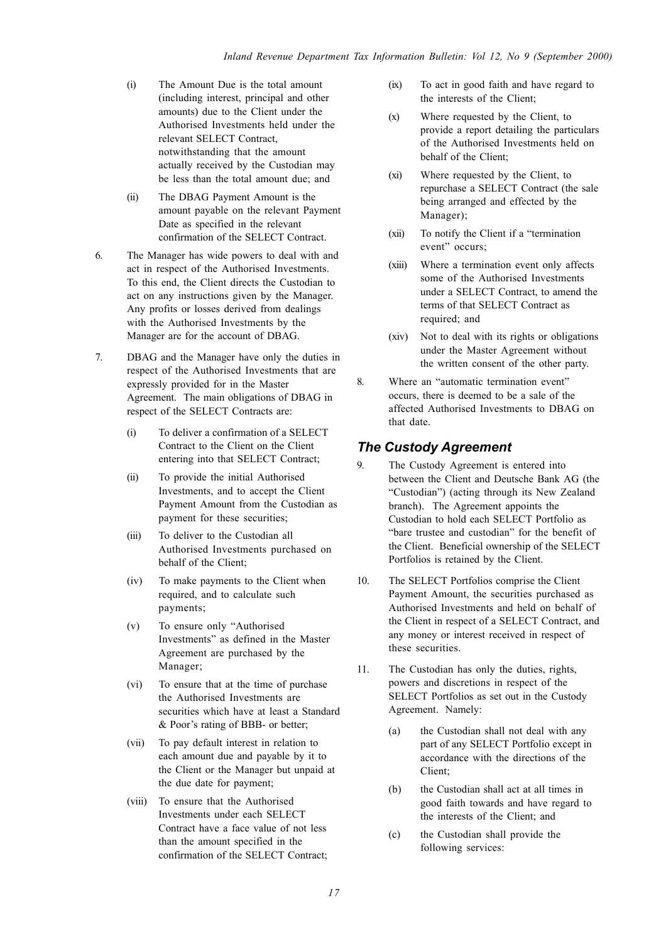- (i) The Amount Due is the total amount (including interest, principal and other amounts) due to the Client under the Authorised Investments held under the relevant SELECT Contract, notwithstanding that the amount actually received by the Custodian may be less than the total amount due; and
- (ii) The DBAG Payment Amount is the amount payable on the relevant Payment Date as specified in the relevant confirmation of the SELECT Contract.
- 6. The Manager has wide powers to deal with and act in respect of the Authorised Investments. To this end, the Client directs the Custodian to act on any instructions given by the Manager. Any profits or losses derived from dealings with the Authorised Investments by the Manager are for the account of DBAG.
- 7. DBAG and the Manager have only the duties in respect of the Authorised Investments that are expressly provided for in the Master Agreement. The main obligations of DBAG in respect of the SELECT Contracts are:
	- (i) To deliver a confirmation of a SELECT Contract to the Client on the Client entering into that SELECT Contract;
	- (ii) To provide the initial Authorised Investments, and to accept the Client Payment Amount from the Custodian as payment for these securities;
	- (iii) To deliver to the Custodian all Authorised Investments purchased on behalf of the Client;
	- (iv) To make payments to the Client when required, and to calculate such payments;
	- (v) To ensure only "Authorised Investments" as defined in the Master Agreement are purchased by the Manager;
	- (vi) To ensure that at the time of purchase the Authorised Investments are securities which have at least a Standard & Poor's rating of BBB- or better;
	- (vii) To pay default interest in relation to each amount due and payable by it to the Client or the Manager but unpaid at the due date for payment;
	- (viii) To ensure that the Authorised Investments under each SELECT Contract have a face value of not less than the amount specified in the confirmation of the SELECT Contract;
- (ix) To act in good faith and have regard to the interests of the Client;
- (x) Where requested by the Client, to provide a report detailing the particulars of the Authorised Investments held on behalf of the Client;
- (xi) Where requested by the Client, to repurchase a SELECT Contract (the sale being arranged and effected by the Manager);
- (xii) To notify the Client if a "termination event" occurs;
- (xiii) Where a termination event only affects some of the Authorised Investments under a SELECT Contract, to amend the terms of that SELECT Contract as required; and
- (xiv) Not to deal with its rights or obligations under the Master Agreement without the written consent of the other party.
- 8. Where an "automatic termination event" occurs, there is deemed to be a sale of the affected Authorised Investments to DBAG on that date.

## *The Custody Agreement*

- 9. The Custody Agreement is entered into between the Client and Deutsche Bank AG (the "Custodian") (acting through its New Zealand branch). The Agreement appoints the Custodian to hold each SELECT Portfolio as "bare trustee and custodian" for the benefit of the Client. Beneficial ownership of the SELECT Portfolios is retained by the Client.
- 10. The SELECT Portfolios comprise the Client Payment Amount, the securities purchased as Authorised Investments and held on behalf of the Client in respect of a SELECT Contract, and any money or interest received in respect of these securities.
- 11. The Custodian has only the duties, rights, powers and discretions in respect of the SELECT Portfolios as set out in the Custody Agreement. Namely:
	- (a) the Custodian shall not deal with any part of any SELECT Portfolio except in accordance with the directions of the Client;
	- (b) the Custodian shall act at all times in good faith towards and have regard to the interests of the Client; and
	- (c) the Custodian shall provide the following services: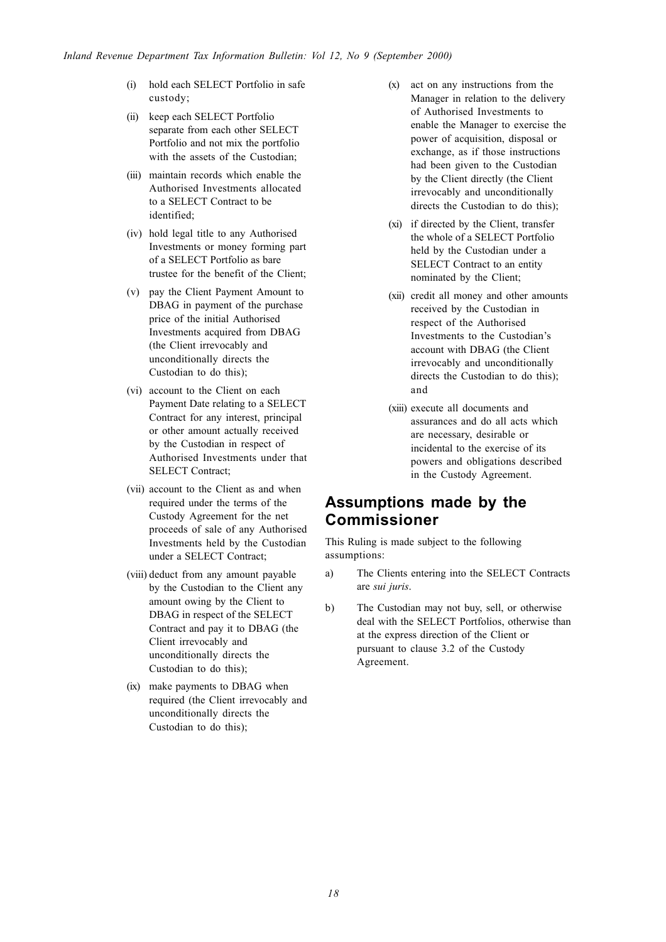- (i) hold each SELECT Portfolio in safe custody;
- (ii) keep each SELECT Portfolio separate from each other SELECT Portfolio and not mix the portfolio with the assets of the Custodian;
- (iii) maintain records which enable the Authorised Investments allocated to a SELECT Contract to be identified;
- (iv) hold legal title to any Authorised Investments or money forming part of a SELECT Portfolio as bare trustee for the benefit of the Client;
- (v) pay the Client Payment Amount to DBAG in payment of the purchase price of the initial Authorised Investments acquired from DBAG (the Client irrevocably and unconditionally directs the Custodian to do this);
- (vi) account to the Client on each Payment Date relating to a SELECT Contract for any interest, principal or other amount actually received by the Custodian in respect of Authorised Investments under that SELECT Contract;
- (vii) account to the Client as and when required under the terms of the Custody Agreement for the net proceeds of sale of any Authorised Investments held by the Custodian under a SELECT Contract;
- (viii) deduct from any amount payable by the Custodian to the Client any amount owing by the Client to DBAG in respect of the SELECT Contract and pay it to DBAG (the Client irrevocably and unconditionally directs the Custodian to do this);
- (ix) make payments to DBAG when required (the Client irrevocably and unconditionally directs the Custodian to do this);
- (x) act on any instructions from the Manager in relation to the delivery of Authorised Investments to enable the Manager to exercise the power of acquisition, disposal or exchange, as if those instructions had been given to the Custodian by the Client directly (the Client irrevocably and unconditionally directs the Custodian to do this);
- (xi) if directed by the Client, transfer the whole of a SELECT Portfolio held by the Custodian under a SELECT Contract to an entity nominated by the Client;
- (xii) credit all money and other amounts received by the Custodian in respect of the Authorised Investments to the Custodian's account with DBAG (the Client irrevocably and unconditionally directs the Custodian to do this); and
- (xiii) execute all documents and assurances and do all acts which are necessary, desirable or incidental to the exercise of its powers and obligations described in the Custody Agreement.

## **Assumptions made by the Commissioner**

This Ruling is made subject to the following assumptions:

- a) The Clients entering into the SELECT Contracts are *sui juris*.
- b) The Custodian may not buy, sell, or otherwise deal with the SELECT Portfolios, otherwise than at the express direction of the Client or pursuant to clause 3.2 of the Custody Agreement.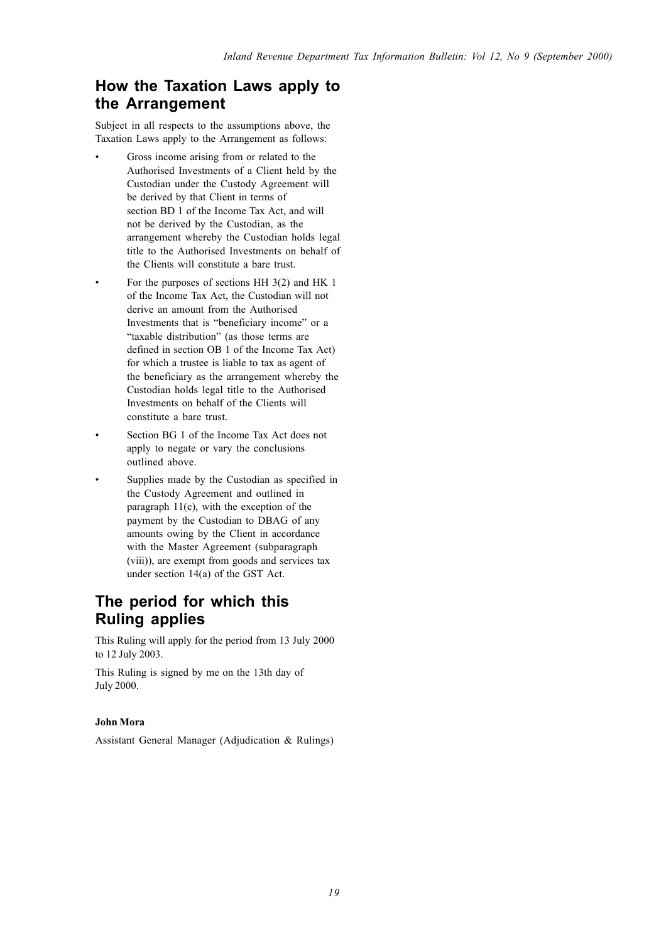## **How the Taxation Laws apply to the Arrangement**

Subject in all respects to the assumptions above, the Taxation Laws apply to the Arrangement as follows:

- Gross income arising from or related to the Authorised Investments of a Client held by the Custodian under the Custody Agreement will be derived by that Client in terms of section BD 1 of the Income Tax Act, and will not be derived by the Custodian, as the arrangement whereby the Custodian holds legal title to the Authorised Investments on behalf of the Clients will constitute a bare trust.
- For the purposes of sections  $HH$  3(2) and  $HK$  1 of the Income Tax Act, the Custodian will not derive an amount from the Authorised Investments that is "beneficiary income" or a "taxable distribution" (as those terms are defined in section OB 1 of the Income Tax Act) for which a trustee is liable to tax as agent of the beneficiary as the arrangement whereby the Custodian holds legal title to the Authorised Investments on behalf of the Clients will constitute a bare trust.
- Section BG 1 of the Income Tax Act does not apply to negate or vary the conclusions outlined above.
- Supplies made by the Custodian as specified in the Custody Agreement and outlined in paragraph  $11(c)$ , with the exception of the payment by the Custodian to DBAG of any amounts owing by the Client in accordance with the Master Agreement (subparagraph (viii)), are exempt from goods and services tax under section 14(a) of the GST Act.

# **The period for which this Ruling applies**

This Ruling will apply for the period from 13 July 2000 to 12 July 2003.

This Ruling is signed by me on the 13th day of July 2000.

#### **John Mora**

Assistant General Manager (Adjudication & Rulings)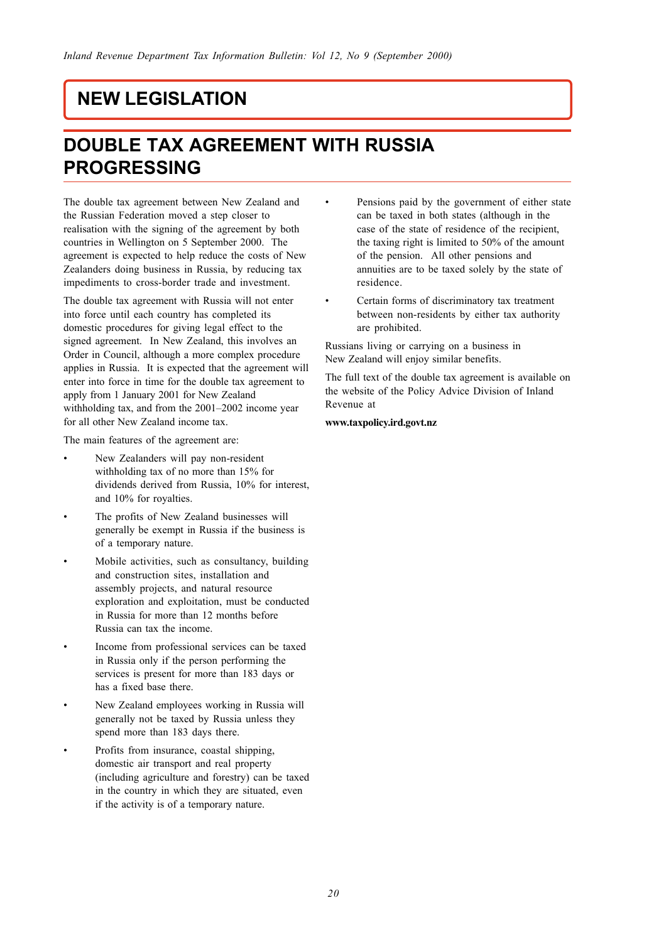# **NEW LEGISLATION**

# **DOUBLE TAX AGREEMENT WITH RUSSIA PROGRESSING**

The double tax agreement between New Zealand and the Russian Federation moved a step closer to realisation with the signing of the agreement by both countries in Wellington on 5 September 2000. The agreement is expected to help reduce the costs of New Zealanders doing business in Russia, by reducing tax impediments to cross-border trade and investment.

The double tax agreement with Russia will not enter into force until each country has completed its domestic procedures for giving legal effect to the signed agreement. In New Zealand, this involves an Order in Council, although a more complex procedure applies in Russia. It is expected that the agreement will enter into force in time for the double tax agreement to apply from 1 January 2001 for New Zealand withholding tax, and from the 2001–2002 income year for all other New Zealand income tax.

The main features of the agreement are:

- New Zealanders will pay non-resident withholding tax of no more than 15% for dividends derived from Russia, 10% for interest, and 10% for royalties.
- The profits of New Zealand businesses will generally be exempt in Russia if the business is of a temporary nature.
- Mobile activities, such as consultancy, building and construction sites, installation and assembly projects, and natural resource exploration and exploitation, must be conducted in Russia for more than 12 months before Russia can tax the income.
- Income from professional services can be taxed in Russia only if the person performing the services is present for more than 183 days or has a fixed base there.
- New Zealand employees working in Russia will generally not be taxed by Russia unless they spend more than 183 days there.
- Profits from insurance, coastal shipping, domestic air transport and real property (including agriculture and forestry) can be taxed in the country in which they are situated, even if the activity is of a temporary nature.
- Pensions paid by the government of either state can be taxed in both states (although in the case of the state of residence of the recipient, the taxing right is limited to 50% of the amount of the pension. All other pensions and annuities are to be taxed solely by the state of residence.
- Certain forms of discriminatory tax treatment between non-residents by either tax authority are prohibited.

Russians living or carrying on a business in New Zealand will enjoy similar benefits.

The full text of the double tax agreement is available on the website of the Policy Advice Division of Inland Revenue at

#### **www.taxpolicy.ird.govt.nz**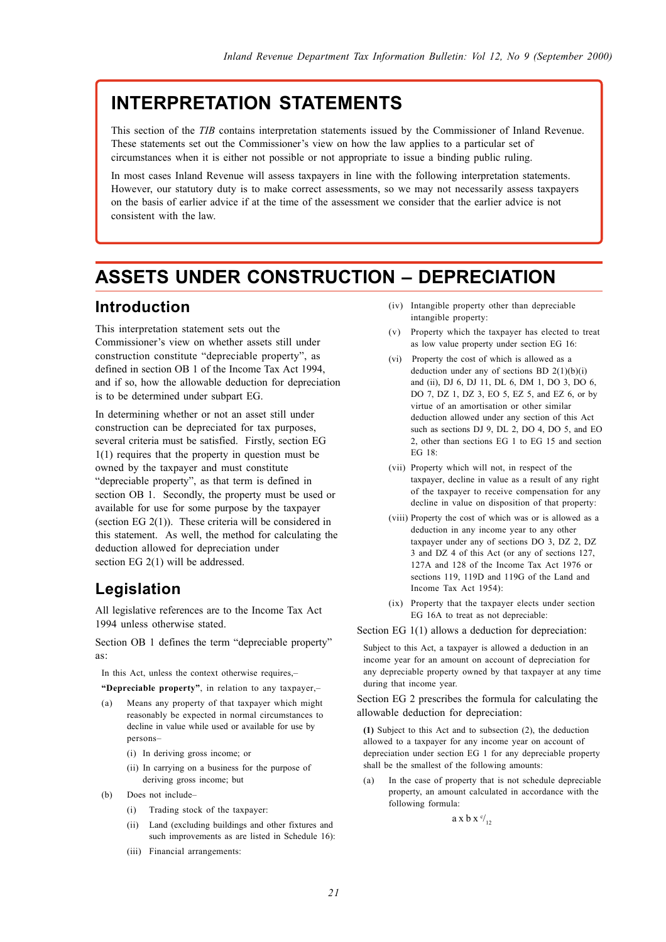# **INTERPRETATION STATEMENTS**

This section of the *TIB* contains interpretation statements issued by the Commissioner of Inland Revenue. These statements set out the Commissioner's view on how the law applies to a particular set of circumstances when it is either not possible or not appropriate to issue a binding public ruling.

In most cases Inland Revenue will assess taxpayers in line with the following interpretation statements. However, our statutory duty is to make correct assessments, so we may not necessarily assess taxpayers on the basis of earlier advice if at the time of the assessment we consider that the earlier advice is not consistent with the law.

# **ASSETS UNDER CONSTRUCTION – DEPRECIATION**

## **Introduction**

This interpretation statement sets out the Commissioner's view on whether assets still under construction constitute "depreciable property", as defined in section OB 1 of the Income Tax Act 1994, and if so, how the allowable deduction for depreciation is to be determined under subpart EG.

In determining whether or not an asset still under construction can be depreciated for tax purposes, several criteria must be satisfied. Firstly, section EG 1(1) requires that the property in question must be owned by the taxpayer and must constitute "depreciable property", as that term is defined in section OB 1. Secondly, the property must be used or available for use for some purpose by the taxpayer (section EG 2(1)). These criteria will be considered in this statement. As well, the method for calculating the deduction allowed for depreciation under section EG 2(1) will be addressed.

# **Legislation**

All legislative references are to the Income Tax Act 1994 unless otherwise stated.

Section OB 1 defines the term "depreciable property" as:

In this Act, unless the context otherwise requires,–

**"Depreciable property"**, in relation to any taxpayer,–

- (a) Means any property of that taxpayer which might reasonably be expected in normal circumstances to decline in value while used or available for use by persons–
	- (i) In deriving gross income; or
	- (ii) In carrying on a business for the purpose of deriving gross income; but
- (b) Does not include–
	- (i) Trading stock of the taxpayer:
	- (ii) Land (excluding buildings and other fixtures and such improvements as are listed in Schedule 16):
	- (iii) Financial arrangements:
- (iv) Intangible property other than depreciable intangible property:
- (v) Property which the taxpayer has elected to treat as low value property under section EG 16:
- (vi) Property the cost of which is allowed as a deduction under any of sections BD  $2(1)(b)(i)$ and (ii), DJ 6, DJ 11, DL 6, DM 1, DO 3, DO 6, DO 7, DZ 1, DZ 3, EO 5, EZ 5, and EZ 6, or by virtue of an amortisation or other similar deduction allowed under any section of this Act such as sections DJ 9, DL 2, DO 4, DO 5, and EO 2, other than sections EG 1 to EG 15 and section EG 18:
- (vii) Property which will not, in respect of the taxpayer, decline in value as a result of any right of the taxpayer to receive compensation for any decline in value on disposition of that property:
- (viii) Property the cost of which was or is allowed as a deduction in any income year to any other taxpayer under any of sections DO 3, DZ 2, DZ 3 and DZ 4 of this Act (or any of sections 127, 127A and 128 of the Income Tax Act 1976 or sections 119, 119D and 119G of the Land and Income Tax Act 1954):
- (ix) Property that the taxpayer elects under section EG 16A to treat as not depreciable:

Section EG 1(1) allows a deduction for depreciation:

Subject to this Act, a taxpayer is allowed a deduction in an income year for an amount on account of depreciation for any depreciable property owned by that taxpayer at any time during that income year.

Section EG 2 prescribes the formula for calculating the allowable deduction for depreciation:

**(1)** Subject to this Act and to subsection (2), the deduction allowed to a taxpayer for any income year on account of depreciation under section EG 1 for any depreciable property shall be the smallest of the following amounts:

(a) In the case of property that is not schedule depreciable property, an amount calculated in accordance with the following formula:

 $a x b x c'_{12}$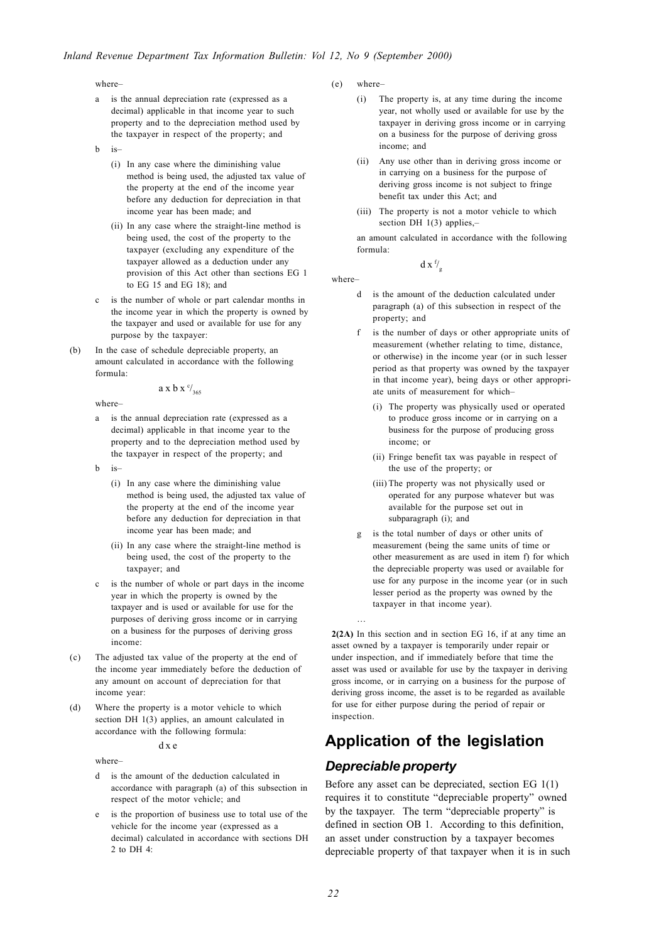#### where–

- a is the annual depreciation rate (expressed as a decimal) applicable in that income year to such property and to the depreciation method used by the taxpayer in respect of the property; and
- b is–
	- (i) In any case where the diminishing value method is being used, the adjusted tax value of the property at the end of the income year before any deduction for depreciation in that income year has been made; and
	- (ii) In any case where the straight-line method is being used, the cost of the property to the taxpayer (excluding any expenditure of the taxpayer allowed as a deduction under any provision of this Act other than sections EG 1 to EG 15 and EG 18); and
- c is the number of whole or part calendar months in the income year in which the property is owned by the taxpayer and used or available for use for any purpose by the taxpayer:
- (b) In the case of schedule depreciable property, an amount calculated in accordance with the following formula:

$$
a x b x c'_{365}
$$

where–

- a is the annual depreciation rate (expressed as a decimal) applicable in that income year to the property and to the depreciation method used by the taxpayer in respect of the property; and
- b is–
	- (i) In any case where the diminishing value method is being used, the adjusted tax value of the property at the end of the income year before any deduction for depreciation in that income year has been made; and
	- (ii) In any case where the straight-line method is being used, the cost of the property to the taxpayer; and
- c is the number of whole or part days in the income year in which the property is owned by the taxpayer and is used or available for use for the purposes of deriving gross income or in carrying on a business for the purposes of deriving gross income:
- (c) The adjusted tax value of the property at the end of the income year immediately before the deduction of any amount on account of depreciation for that income year:
- (d) Where the property is a motor vehicle to which section DH 1(3) applies, an amount calculated in accordance with the following formula:

 $d \times e$ 

where–

- d is the amount of the deduction calculated in accordance with paragraph (a) of this subsection in respect of the motor vehicle; and
- e is the proportion of business use to total use of the vehicle for the income year (expressed as a decimal) calculated in accordance with sections DH 2 to DH  $4$ .
- (e) where–
	- (i) The property is, at any time during the income year, not wholly used or available for use by the taxpayer in deriving gross income or in carrying on a business for the purpose of deriving gross income; and
	- (ii) Any use other than in deriving gross income or in carrying on a business for the purpose of deriving gross income is not subject to fringe benefit tax under this Act; and
	- (iii) The property is not a motor vehicle to which section DH 1(3) applies,-

an amount calculated in accordance with the following formula:

 $d x f'$ 

where–

- d is the amount of the deduction calculated under paragraph (a) of this subsection in respect of the property; and
- f is the number of days or other appropriate units of measurement (whether relating to time, distance, or otherwise) in the income year (or in such lesser period as that property was owned by the taxpayer in that income year), being days or other appropriate units of measurement for which–
	- (i) The property was physically used or operated to produce gross income or in carrying on a business for the purpose of producing gross income; or
	- (ii) Fringe benefit tax was payable in respect of the use of the property; or
	- (iii) The property was not physically used or operated for any purpose whatever but was available for the purpose set out in subparagraph (i); and
- g is the total number of days or other units of measurement (being the same units of time or other measurement as are used in item f) for which the depreciable property was used or available for use for any purpose in the income year (or in such lesser period as the property was owned by the taxpayer in that income year).

**2(2A)** In this section and in section EG 16, if at any time an asset owned by a taxpayer is temporarily under repair or under inspection, and if immediately before that time the asset was used or available for use by the taxpayer in deriving gross income, or in carrying on a business for the purpose of deriving gross income, the asset is to be regarded as available for use for either purpose during the period of repair or inspection.

## **Application of the legislation**

## *Depreciable property*

…

Before any asset can be depreciated, section EG 1(1) requires it to constitute "depreciable property" owned by the taxpayer. The term "depreciable property" is defined in section OB 1. According to this definition, an asset under construction by a taxpayer becomes depreciable property of that taxpayer when it is in such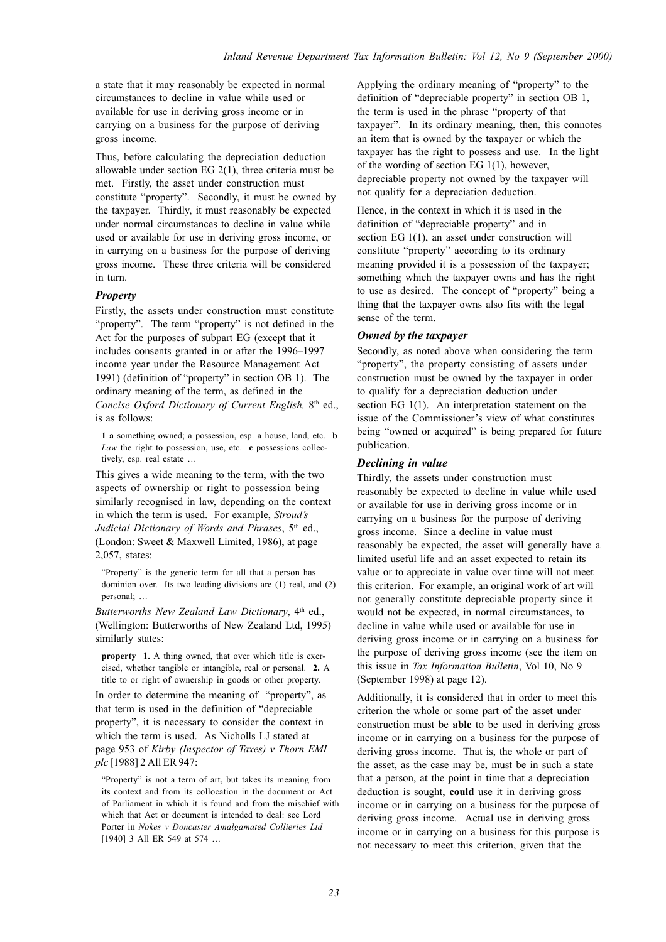a state that it may reasonably be expected in normal circumstances to decline in value while used or available for use in deriving gross income or in carrying on a business for the purpose of deriving gross income.

Thus, before calculating the depreciation deduction allowable under section EG 2(1), three criteria must be met. Firstly, the asset under construction must constitute "property". Secondly, it must be owned by the taxpayer. Thirdly, it must reasonably be expected under normal circumstances to decline in value while used or available for use in deriving gross income, or in carrying on a business for the purpose of deriving gross income. These three criteria will be considered in turn.

#### *Property*

Firstly, the assets under construction must constitute "property". The term "property" is not defined in the Act for the purposes of subpart EG (except that it includes consents granted in or after the 1996–1997 income year under the Resource Management Act 1991) (definition of "property" in section OB 1). The ordinary meaning of the term, as defined in the *Concise Oxford Dictionary of Current English,* 8th ed., is as follows:

**1 a** something owned; a possession, esp. a house, land, etc. **b** *Law* the right to possession, use, etc. **c** possessions collectively, esp. real estate …

This gives a wide meaning to the term, with the two aspects of ownership or right to possession being similarly recognised in law, depending on the context in which the term is used. For example, *Stroud's* Judicial Dictionary of Words and Phrases, 5<sup>th</sup> ed., (London: Sweet & Maxwell Limited, 1986), at page 2,057, states:

"Property" is the generic term for all that a person has dominion over. Its two leading divisions are (1) real, and (2) personal; …

*Butterworths New Zealand Law Dictionary*, 4<sup>th</sup> ed., (Wellington: Butterworths of New Zealand Ltd, 1995) similarly states:

**property** 1. A thing owned, that over which title is exercised, whether tangible or intangible, real or personal. **2.** A title to or right of ownership in goods or other property.

In order to determine the meaning of "property", as that term is used in the definition of "depreciable property", it is necessary to consider the context in which the term is used. As Nicholls LJ stated at page 953 of *Kirby (Inspector of Taxes) v Thorn EMI plc* [1988] 2 All ER 947:

Applying the ordinary meaning of "property" to the definition of "depreciable property" in section OB 1, the term is used in the phrase "property of that taxpayer". In its ordinary meaning, then, this connotes an item that is owned by the taxpayer or which the taxpayer has the right to possess and use. In the light of the wording of section EG 1(1), however, depreciable property not owned by the taxpayer will not qualify for a depreciation deduction.

Hence, in the context in which it is used in the definition of "depreciable property" and in section EG 1(1), an asset under construction will constitute "property" according to its ordinary meaning provided it is a possession of the taxpayer; something which the taxpayer owns and has the right to use as desired. The concept of "property" being a thing that the taxpayer owns also fits with the legal sense of the term.

#### *Owned by the taxpayer*

Secondly, as noted above when considering the term "property", the property consisting of assets under construction must be owned by the taxpayer in order to qualify for a depreciation deduction under section EG 1(1). An interpretation statement on the issue of the Commissioner's view of what constitutes being "owned or acquired" is being prepared for future publication.

#### *Declining in value*

Thirdly, the assets under construction must reasonably be expected to decline in value while used or available for use in deriving gross income or in carrying on a business for the purpose of deriving gross income. Since a decline in value must reasonably be expected, the asset will generally have a limited useful life and an asset expected to retain its value or to appreciate in value over time will not meet this criterion. For example, an original work of art will not generally constitute depreciable property since it would not be expected, in normal circumstances, to decline in value while used or available for use in deriving gross income or in carrying on a business for the purpose of deriving gross income (see the item on this issue in *Tax Information Bulletin*, Vol 10, No 9 (September 1998) at page 12).

Additionally, it is considered that in order to meet this criterion the whole or some part of the asset under construction must be **able** to be used in deriving gross income or in carrying on a business for the purpose of deriving gross income. That is, the whole or part of the asset, as the case may be, must be in such a state that a person, at the point in time that a depreciation deduction is sought, **could** use it in deriving gross income or in carrying on a business for the purpose of deriving gross income. Actual use in deriving gross income or in carrying on a business for this purpose is not necessary to meet this criterion, given that the

<sup>&</sup>quot;Property" is not a term of art, but takes its meaning from its context and from its collocation in the document or Act of Parliament in which it is found and from the mischief with which that Act or document is intended to deal: see Lord Porter in *Nokes v Doncaster Amalgamated Collieries Ltd* [1940] 3 All ER 549 at 574 ...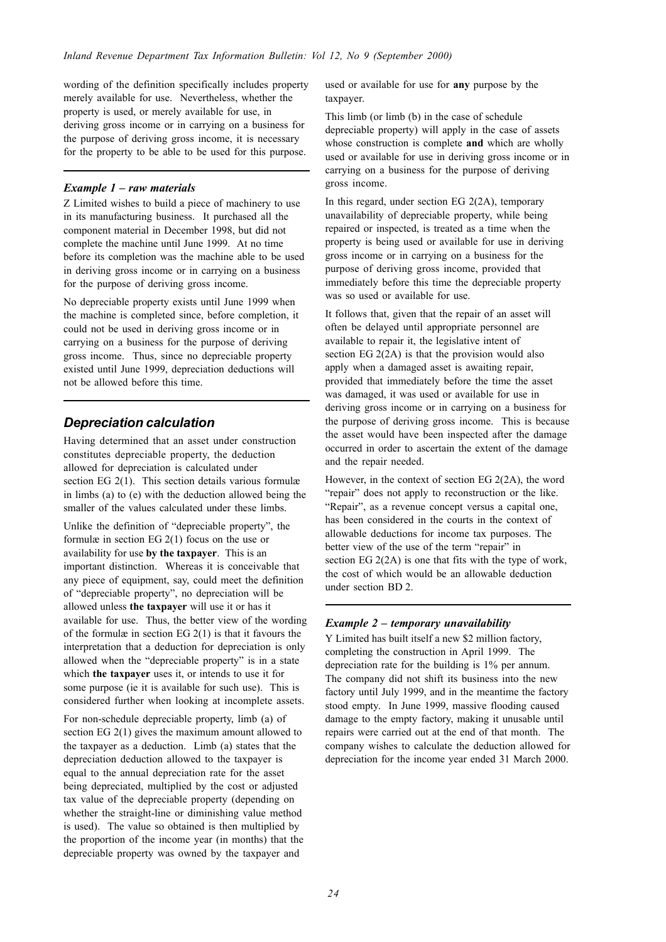wording of the definition specifically includes property merely available for use. Nevertheless, whether the property is used, or merely available for use, in deriving gross income or in carrying on a business for the purpose of deriving gross income, it is necessary for the property to be able to be used for this purpose.

#### *Example 1 – raw materials*

Z Limited wishes to build a piece of machinery to use in its manufacturing business. It purchased all the component material in December 1998, but did not complete the machine until June 1999. At no time before its completion was the machine able to be used in deriving gross income or in carrying on a business for the purpose of deriving gross income.

No depreciable property exists until June 1999 when the machine is completed since, before completion, it could not be used in deriving gross income or in carrying on a business for the purpose of deriving gross income. Thus, since no depreciable property existed until June 1999, depreciation deductions will not be allowed before this time.

#### *Depreciation calculation*

Having determined that an asset under construction constitutes depreciable property, the deduction allowed for depreciation is calculated under section EG 2(1). This section details various formulæ in limbs (a) to (e) with the deduction allowed being the smaller of the values calculated under these limbs.

Unlike the definition of "depreciable property", the formulæ in section EG 2(1) focus on the use or availability for use **by the taxpayer**. This is an important distinction. Whereas it is conceivable that any piece of equipment, say, could meet the definition of "depreciable property", no depreciation will be allowed unless **the taxpayer** will use it or has it available for use. Thus, the better view of the wording of the formulæ in section EG  $2(1)$  is that it favours the interpretation that a deduction for depreciation is only allowed when the "depreciable property" is in a state which **the taxpayer** uses it, or intends to use it for some purpose (ie it is available for such use). This is considered further when looking at incomplete assets.

For non-schedule depreciable property, limb (a) of section EG 2(1) gives the maximum amount allowed to the taxpayer as a deduction. Limb (a) states that the depreciation deduction allowed to the taxpayer is equal to the annual depreciation rate for the asset being depreciated, multiplied by the cost or adjusted tax value of the depreciable property (depending on whether the straight-line or diminishing value method is used). The value so obtained is then multiplied by the proportion of the income year (in months) that the depreciable property was owned by the taxpayer and

used or available for use for **any** purpose by the taxpayer.

This limb (or limb (b) in the case of schedule depreciable property) will apply in the case of assets whose construction is complete **and** which are wholly used or available for use in deriving gross income or in carrying on a business for the purpose of deriving gross income.

In this regard, under section EG 2(2A), temporary unavailability of depreciable property, while being repaired or inspected, is treated as a time when the property is being used or available for use in deriving gross income or in carrying on a business for the purpose of deriving gross income, provided that immediately before this time the depreciable property was so used or available for use.

It follows that, given that the repair of an asset will often be delayed until appropriate personnel are available to repair it, the legislative intent of section EG 2(2A) is that the provision would also apply when a damaged asset is awaiting repair, provided that immediately before the time the asset was damaged, it was used or available for use in deriving gross income or in carrying on a business for the purpose of deriving gross income. This is because the asset would have been inspected after the damage occurred in order to ascertain the extent of the damage and the repair needed.

However, in the context of section EG 2(2A), the word "repair" does not apply to reconstruction or the like. "Repair", as a revenue concept versus a capital one, has been considered in the courts in the context of allowable deductions for income tax purposes. The better view of the use of the term "repair" in section EG 2(2A) is one that fits with the type of work, the cost of which would be an allowable deduction under section BD 2.

#### *Example 2 – temporary unavailability*

Y Limited has built itself a new \$2 million factory, completing the construction in April 1999. The depreciation rate for the building is 1% per annum. The company did not shift its business into the new factory until July 1999, and in the meantime the factory stood empty. In June 1999, massive flooding caused damage to the empty factory, making it unusable until repairs were carried out at the end of that month. The company wishes to calculate the deduction allowed for depreciation for the income year ended 31 March 2000.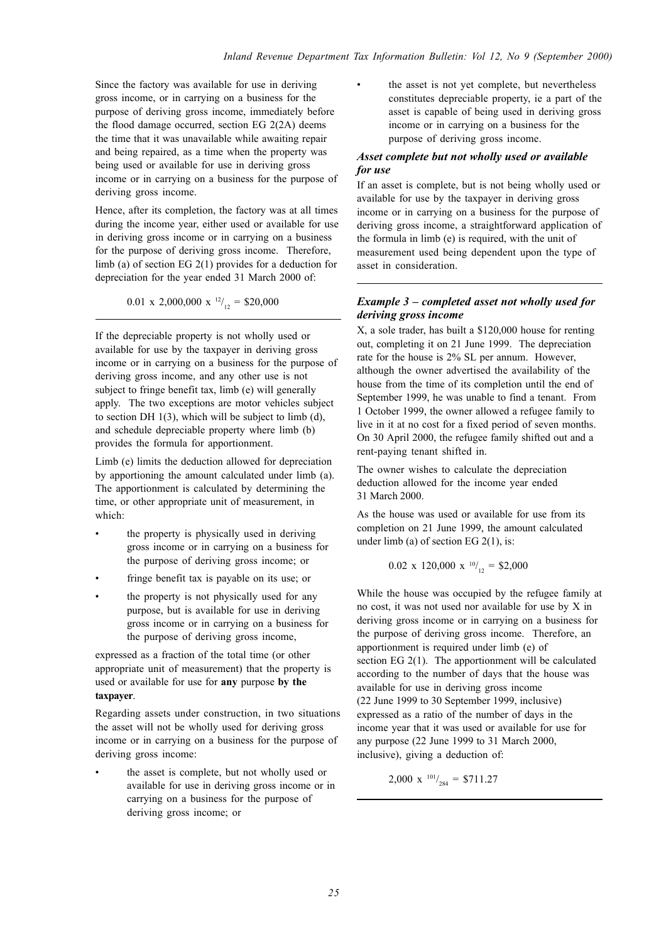Since the factory was available for use in deriving gross income, or in carrying on a business for the purpose of deriving gross income, immediately before the flood damage occurred, section EG 2(2A) deems the time that it was unavailable while awaiting repair and being repaired, as a time when the property was being used or available for use in deriving gross income or in carrying on a business for the purpose of deriving gross income.

Hence, after its completion, the factory was at all times during the income year, either used or available for use in deriving gross income or in carrying on a business for the purpose of deriving gross income. Therefore, limb (a) of section EG 2(1) provides for a deduction for depreciation for the year ended 31 March 2000 of:

0.01 x 2,000,000 x  $^{12}/_{12}$  = \$20,000

If the depreciable property is not wholly used or available for use by the taxpayer in deriving gross income or in carrying on a business for the purpose of deriving gross income, and any other use is not subject to fringe benefit tax, limb (e) will generally apply. The two exceptions are motor vehicles subject to section DH 1(3), which will be subject to limb (d), and schedule depreciable property where limb (b) provides the formula for apportionment.

Limb (e) limits the deduction allowed for depreciation by apportioning the amount calculated under limb (a). The apportionment is calculated by determining the time, or other appropriate unit of measurement, in which:

- the property is physically used in deriving gross income or in carrying on a business for the purpose of deriving gross income; or
- fringe benefit tax is payable on its use; or
- the property is not physically used for any purpose, but is available for use in deriving gross income or in carrying on a business for the purpose of deriving gross income,

expressed as a fraction of the total time (or other appropriate unit of measurement) that the property is used or available for use for **any** purpose **by the taxpayer**.

Regarding assets under construction, in two situations the asset will not be wholly used for deriving gross income or in carrying on a business for the purpose of deriving gross income:

the asset is complete, but not wholly used or available for use in deriving gross income or in carrying on a business for the purpose of deriving gross income; or

the asset is not yet complete, but nevertheless constitutes depreciable property, ie a part of the asset is capable of being used in deriving gross income or in carrying on a business for the purpose of deriving gross income.

#### *Asset complete but not wholly used or available for use*

If an asset is complete, but is not being wholly used or available for use by the taxpayer in deriving gross income or in carrying on a business for the purpose of deriving gross income, a straightforward application of the formula in limb (e) is required, with the unit of measurement used being dependent upon the type of asset in consideration.

#### *Example 3 – completed asset not wholly used for deriving gross income*

X, a sole trader, has built a \$120,000 house for renting out, completing it on 21 June 1999. The depreciation rate for the house is 2% SL per annum. However, although the owner advertised the availability of the house from the time of its completion until the end of September 1999, he was unable to find a tenant. From 1 October 1999, the owner allowed a refugee family to live in it at no cost for a fixed period of seven months. On 30 April 2000, the refugee family shifted out and a rent-paying tenant shifted in.

The owner wishes to calculate the depreciation deduction allowed for the income year ended 31 March 2000.

As the house was used or available for use from its completion on 21 June 1999, the amount calculated under limb (a) of section EG  $2(1)$ , is:

$$
0.02 \times 120,000 \times 10_{12} = $2,000
$$

While the house was occupied by the refugee family at no cost, it was not used nor available for use by X in deriving gross income or in carrying on a business for the purpose of deriving gross income. Therefore, an apportionment is required under limb (e) of section EG 2(1). The apportionment will be calculated according to the number of days that the house was available for use in deriving gross income (22 June 1999 to 30 September 1999, inclusive) expressed as a ratio of the number of days in the income year that it was used or available for use for any purpose (22 June 1999 to 31 March 2000, inclusive), giving a deduction of:

2,000 x  $^{101}/_{284}$  = \$711.27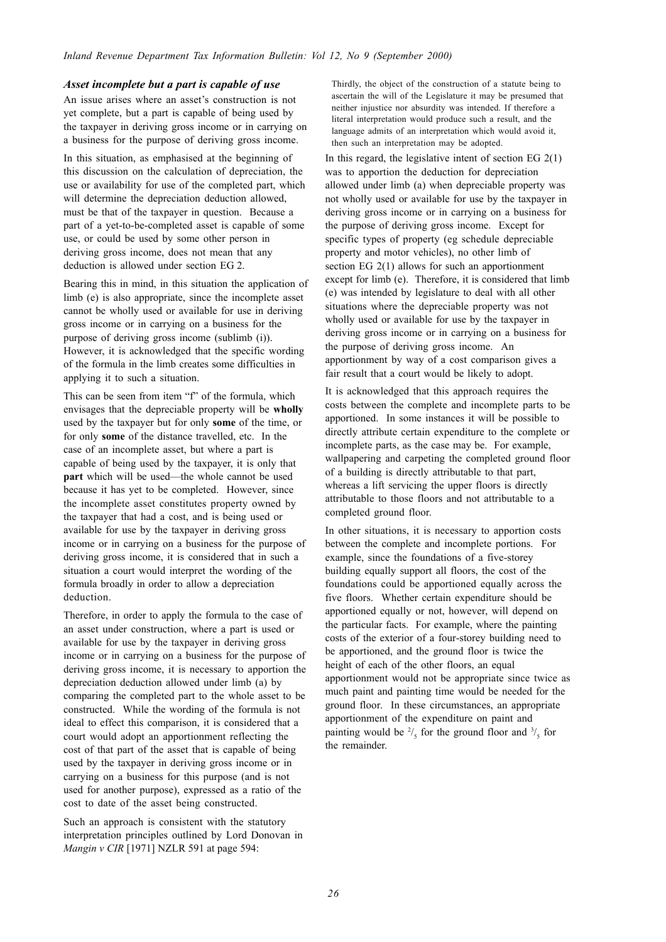#### *Asset incomplete but a part is capable of use*

An issue arises where an asset's construction is not yet complete, but a part is capable of being used by the taxpayer in deriving gross income or in carrying on a business for the purpose of deriving gross income.

In this situation, as emphasised at the beginning of this discussion on the calculation of depreciation, the use or availability for use of the completed part, which will determine the depreciation deduction allowed, must be that of the taxpayer in question. Because a part of a yet-to-be-completed asset is capable of some use, or could be used by some other person in deriving gross income, does not mean that any deduction is allowed under section EG 2.

Bearing this in mind, in this situation the application of limb (e) is also appropriate, since the incomplete asset cannot be wholly used or available for use in deriving gross income or in carrying on a business for the purpose of deriving gross income (sublimb (i)). However, it is acknowledged that the specific wording of the formula in the limb creates some difficulties in applying it to such a situation.

This can be seen from item "f" of the formula, which envisages that the depreciable property will be **wholly** used by the taxpayer but for only **some** of the time, or for only **some** of the distance travelled, etc. In the case of an incomplete asset, but where a part is capable of being used by the taxpayer, it is only that **part** which will be used—the whole cannot be used because it has yet to be completed. However, since the incomplete asset constitutes property owned by the taxpayer that had a cost, and is being used or available for use by the taxpayer in deriving gross income or in carrying on a business for the purpose of deriving gross income, it is considered that in such a situation a court would interpret the wording of the formula broadly in order to allow a depreciation deduction.

Therefore, in order to apply the formula to the case of an asset under construction, where a part is used or available for use by the taxpayer in deriving gross income or in carrying on a business for the purpose of deriving gross income, it is necessary to apportion the depreciation deduction allowed under limb (a) by comparing the completed part to the whole asset to be constructed. While the wording of the formula is not ideal to effect this comparison, it is considered that a court would adopt an apportionment reflecting the cost of that part of the asset that is capable of being used by the taxpayer in deriving gross income or in carrying on a business for this purpose (and is not used for another purpose), expressed as a ratio of the cost to date of the asset being constructed.

Such an approach is consistent with the statutory interpretation principles outlined by Lord Donovan in *Mangin v CIR* [1971] NZLR 591 at page 594:

Thirdly, the object of the construction of a statute being to ascertain the will of the Legislature it may be presumed that neither injustice nor absurdity was intended. If therefore a literal interpretation would produce such a result, and the language admits of an interpretation which would avoid it, then such an interpretation may be adopted.

In this regard, the legislative intent of section EG  $2(1)$ was to apportion the deduction for depreciation allowed under limb (a) when depreciable property was not wholly used or available for use by the taxpayer in deriving gross income or in carrying on a business for the purpose of deriving gross income. Except for specific types of property (eg schedule depreciable property and motor vehicles), no other limb of section EG 2(1) allows for such an apportionment except for limb (e). Therefore, it is considered that limb (e) was intended by legislature to deal with all other situations where the depreciable property was not wholly used or available for use by the taxpayer in deriving gross income or in carrying on a business for the purpose of deriving gross income. An apportionment by way of a cost comparison gives a fair result that a court would be likely to adopt.

It is acknowledged that this approach requires the costs between the complete and incomplete parts to be apportioned. In some instances it will be possible to directly attribute certain expenditure to the complete or incomplete parts, as the case may be. For example, wallpapering and carpeting the completed ground floor of a building is directly attributable to that part, whereas a lift servicing the upper floors is directly attributable to those floors and not attributable to a completed ground floor.

In other situations, it is necessary to apportion costs between the complete and incomplete portions. For example, since the foundations of a five-storey building equally support all floors, the cost of the foundations could be apportioned equally across the five floors. Whether certain expenditure should be apportioned equally or not, however, will depend on the particular facts. For example, where the painting costs of the exterior of a four-storey building need to be apportioned, and the ground floor is twice the height of each of the other floors, an equal apportionment would not be appropriate since twice as much paint and painting time would be needed for the ground floor. In these circumstances, an appropriate apportionment of the expenditure on paint and painting would be  $\frac{2}{5}$  for the ground floor and  $\frac{3}{5}$  for the remainder.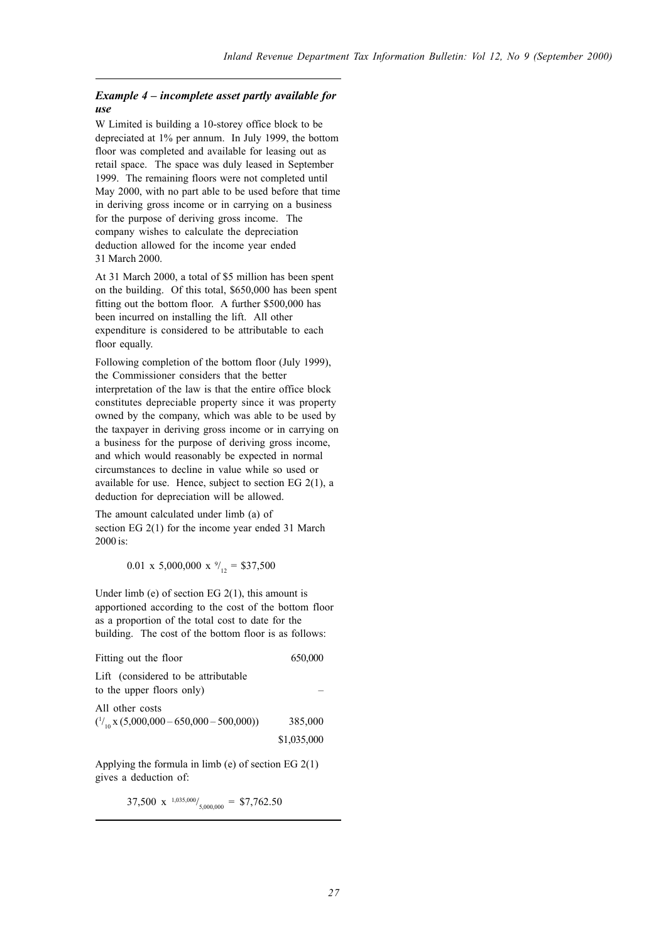## *Example 4 – incomplete asset partly available for use*

W Limited is building a 10-storey office block to be depreciated at 1% per annum. In July 1999, the bottom floor was completed and available for leasing out as retail space. The space was duly leased in September 1999. The remaining floors were not completed until May 2000, with no part able to be used before that time in deriving gross income or in carrying on a business for the purpose of deriving gross income. The company wishes to calculate the depreciation deduction allowed for the income year ended 31 March 2000.

At 31 March 2000, a total of \$5 million has been spent on the building. Of this total, \$650,000 has been spent fitting out the bottom floor. A further \$500,000 has been incurred on installing the lift. All other expenditure is considered to be attributable to each floor equally.

Following completion of the bottom floor (July 1999), the Commissioner considers that the better interpretation of the law is that the entire office block constitutes depreciable property since it was property owned by the company, which was able to be used by the taxpayer in deriving gross income or in carrying on a business for the purpose of deriving gross income, and which would reasonably be expected in normal circumstances to decline in value while so used or available for use. Hence, subject to section EG  $2(1)$ , a deduction for depreciation will be allowed.

The amount calculated under limb (a) of section EG 2(1) for the income year ended 31 March 2000 is:

0.01 x 5,000,000 x  $\frac{9}{12}$  = \$37,500

Under limb (e) of section EG 2(1), this amount is apportioned according to the cost of the bottom floor as a proportion of the total cost to date for the building. The cost of the bottom floor is as follows:

| Fitting out the floor                                                 | 650,000     |
|-----------------------------------------------------------------------|-------------|
| Lift (considered to be attributable<br>to the upper floors only)      |             |
| All other costs<br>$\binom{1}{10}$ x (5,000,000 – 650,000 – 500,000)) | 385,000     |
|                                                                       | \$1,035,000 |

Applying the formula in limb (e) of section EG 2(1) gives a deduction of:

37,500 x  $^{1,035,000/}_{5,000,000}$  = \$7,762.50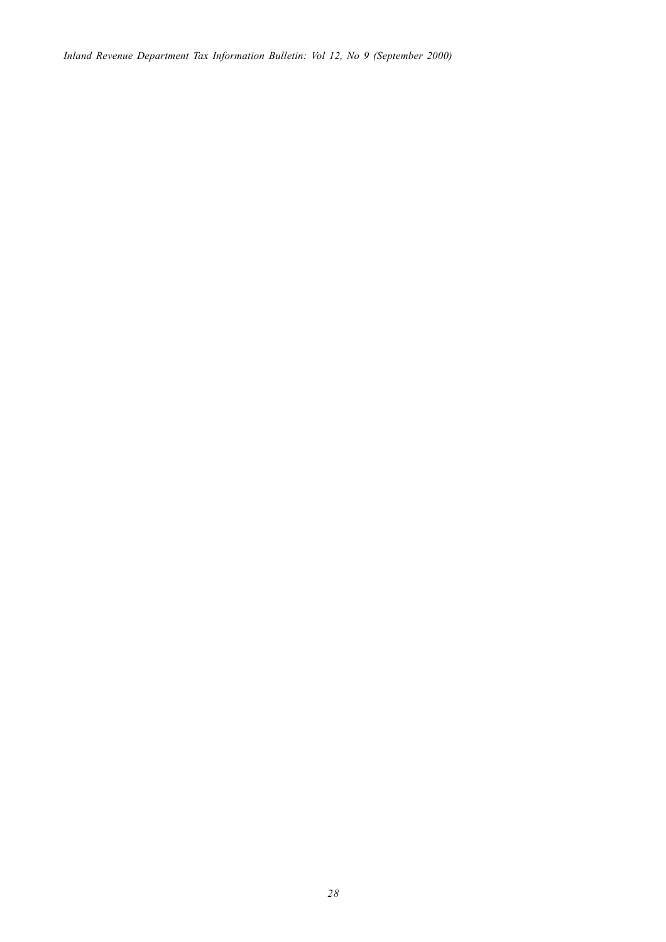*Inland Revenue Department Tax Information Bulletin: Vol 12, No 9 (September 2000)*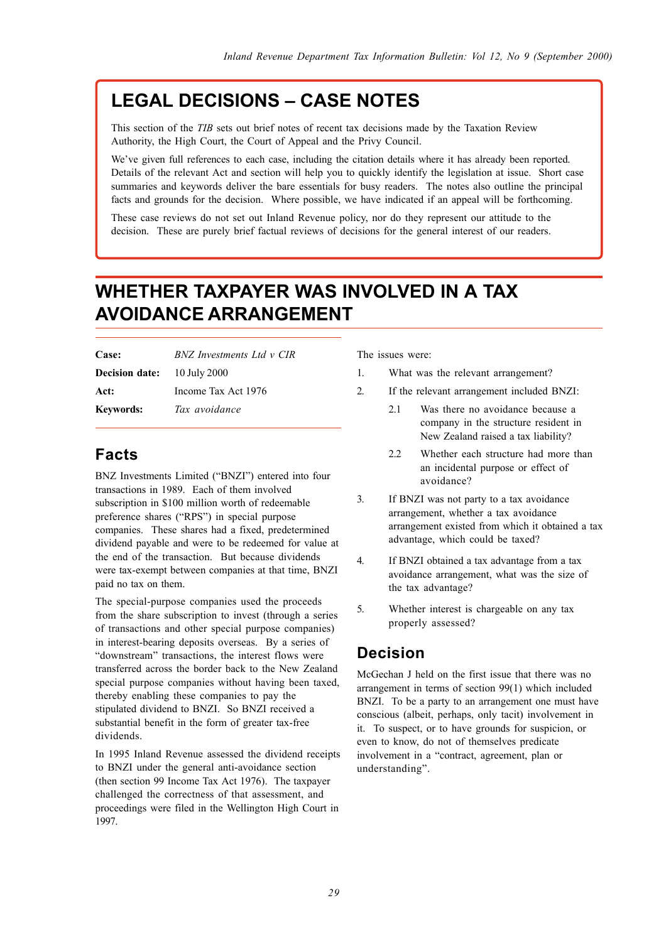# **LEGAL DECISIONS – CASE NOTES**

This section of the *TIB* sets out brief notes of recent tax decisions made by the Taxation Review Authority, the High Court, the Court of Appeal and the Privy Council.

We've given full references to each case, including the citation details where it has already been reported. Details of the relevant Act and section will help you to quickly identify the legislation at issue. Short case summaries and keywords deliver the bare essentials for busy readers. The notes also outline the principal facts and grounds for the decision. Where possible, we have indicated if an appeal will be forthcoming.

These case reviews do not set out Inland Revenue policy, nor do they represent our attitude to the decision. These are purely brief factual reviews of decisions for the general interest of our readers.

# **WHETHER TAXPAYER WAS INVOLVED IN A TAX AVOIDANCE ARRANGEMENT**

| Case:                              | BNZ Investments Ltd v CIR |
|------------------------------------|---------------------------|
| <b>Decision date:</b> 10 July 2000 |                           |
| Act:                               | Income Tax Act 1976       |
| <b>Keywords:</b>                   | Tax avoidance             |

# **Facts**

BNZ Investments Limited ("BNZI") entered into four transactions in 1989. Each of them involved subscription in \$100 million worth of redeemable preference shares ("RPS") in special purpose companies. These shares had a fixed, predetermined dividend payable and were to be redeemed for value at the end of the transaction. But because dividends were tax-exempt between companies at that time, BNZI paid no tax on them.

The special-purpose companies used the proceeds from the share subscription to invest (through a series of transactions and other special purpose companies) in interest-bearing deposits overseas. By a series of "downstream" transactions, the interest flows were transferred across the border back to the New Zealand special purpose companies without having been taxed, thereby enabling these companies to pay the stipulated dividend to BNZI. So BNZI received a substantial benefit in the form of greater tax-free dividends.

In 1995 Inland Revenue assessed the dividend receipts to BNZI under the general anti-avoidance section (then section 99 Income Tax Act 1976). The taxpayer challenged the correctness of that assessment, and proceedings were filed in the Wellington High Court in 1997.

The issues were:

- 1. What was the relevant arrangement?
- 2. If the relevant arrangement included BNZI:
	- 2.1 Was there no avoidance because a company in the structure resident in New Zealand raised a tax liability?
	- 2.2 Whether each structure had more than an incidental purpose or effect of avoidance?
- 3. If BNZI was not party to a tax avoidance arrangement, whether a tax avoidance arrangement existed from which it obtained a tax advantage, which could be taxed?
- 4. If BNZI obtained a tax advantage from a tax avoidance arrangement, what was the size of the tax advantage?
- 5. Whether interest is chargeable on any tax properly assessed?

# **Decision**

McGechan J held on the first issue that there was no arrangement in terms of section 99(1) which included BNZI. To be a party to an arrangement one must have conscious (albeit, perhaps, only tacit) involvement in it. To suspect, or to have grounds for suspicion, or even to know, do not of themselves predicate involvement in a "contract, agreement, plan or understanding".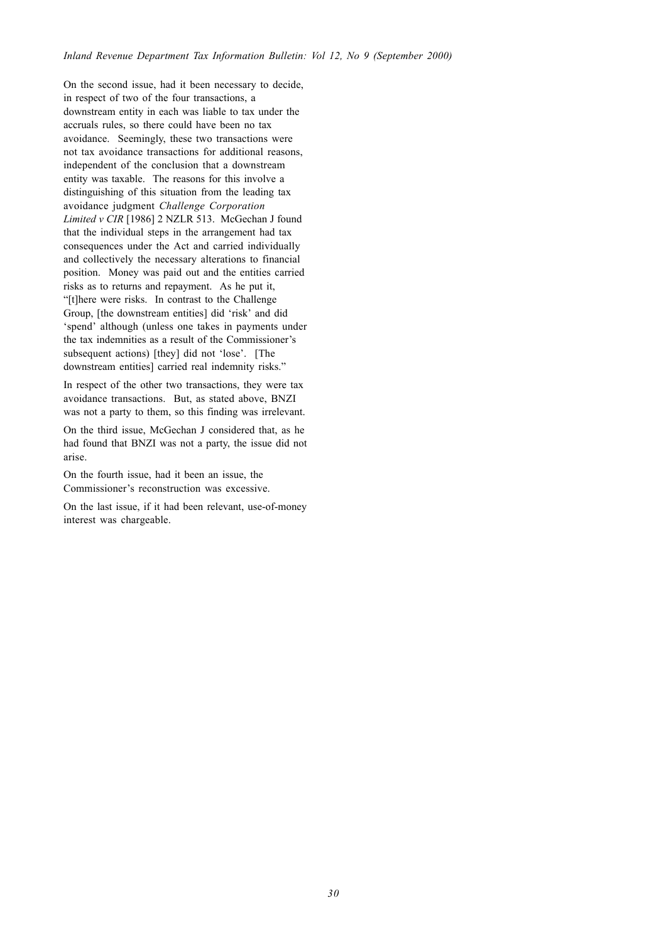On the second issue, had it been necessary to decide, in respect of two of the four transactions, a downstream entity in each was liable to tax under the accruals rules, so there could have been no tax avoidance. Seemingly, these two transactions were not tax avoidance transactions for additional reasons, independent of the conclusion that a downstream entity was taxable. The reasons for this involve a distinguishing of this situation from the leading tax avoidance judgment *Challenge Corporation Limited v CIR* [1986] 2 NZLR 513. McGechan J found that the individual steps in the arrangement had tax consequences under the Act and carried individually and collectively the necessary alterations to financial position. Money was paid out and the entities carried risks as to returns and repayment. As he put it, "[t]here were risks. In contrast to the Challenge Group, [the downstream entities] did 'risk' and did 'spend' although (unless one takes in payments under the tax indemnities as a result of the Commissioner's subsequent actions) [they] did not 'lose'. [The downstream entities] carried real indemnity risks."

In respect of the other two transactions, they were tax avoidance transactions. But, as stated above, BNZI was not a party to them, so this finding was irrelevant.

On the third issue, McGechan J considered that, as he had found that BNZI was not a party, the issue did not arise.

On the fourth issue, had it been an issue, the Commissioner's reconstruction was excessive.

On the last issue, if it had been relevant, use-of-money interest was chargeable.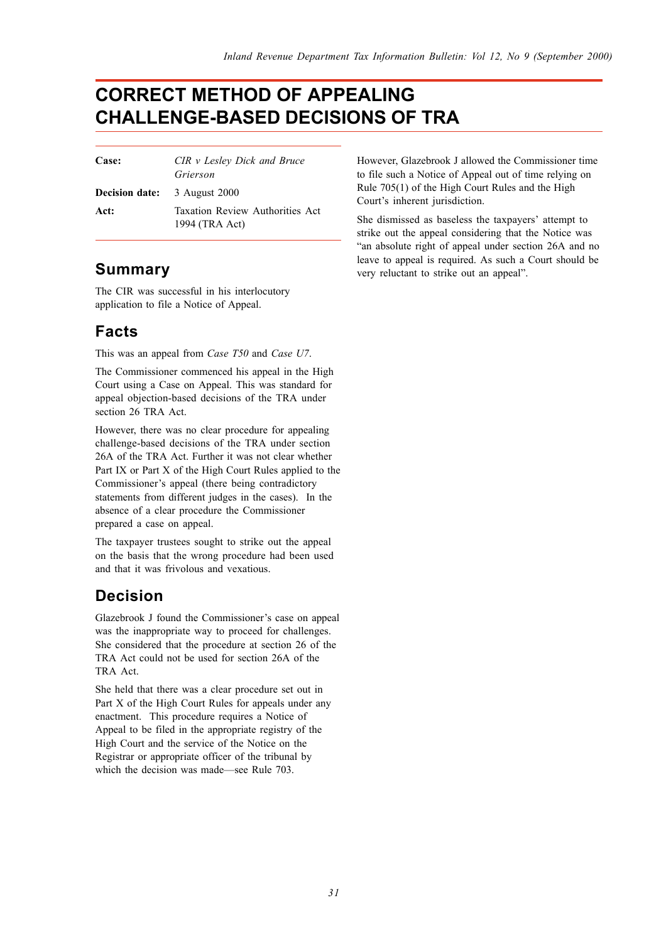# **CORRECT METHOD OF APPEALING CHALLENGE-BASED DECISIONS OF TRA**

| Case:                               | CIR v Lesley Dick and Bruce<br>Grierson           |
|-------------------------------------|---------------------------------------------------|
| <b>Decision date:</b> 3 August 2000 |                                                   |
| Act:                                | Taxation Review Authorities Act<br>1994 (TRA Act) |

# **Summary**

The CIR was successful in his interlocutory application to file a Notice of Appeal.

# **Facts**

This was an appeal from *Case T50* and *Case U7*.

The Commissioner commenced his appeal in the High Court using a Case on Appeal. This was standard for appeal objection-based decisions of the TRA under section 26 TRA Act.

However, there was no clear procedure for appealing challenge-based decisions of the TRA under section 26A of the TRA Act. Further it was not clear whether Part IX or Part X of the High Court Rules applied to the Commissioner's appeal (there being contradictory statements from different judges in the cases). In the absence of a clear procedure the Commissioner prepared a case on appeal.

The taxpayer trustees sought to strike out the appeal on the basis that the wrong procedure had been used and that it was frivolous and vexatious.

# **Decision**

Glazebrook J found the Commissioner's case on appeal was the inappropriate way to proceed for challenges. She considered that the procedure at section 26 of the TRA Act could not be used for section 26A of the TRA Act.

She held that there was a clear procedure set out in Part X of the High Court Rules for appeals under any enactment. This procedure requires a Notice of Appeal to be filed in the appropriate registry of the High Court and the service of the Notice on the Registrar or appropriate officer of the tribunal by which the decision was made—see Rule 703.

However, Glazebrook J allowed the Commissioner time to file such a Notice of Appeal out of time relying on Rule 705(1) of the High Court Rules and the High Court's inherent jurisdiction.

She dismissed as baseless the taxpayers' attempt to strike out the appeal considering that the Notice was "an absolute right of appeal under section 26A and no leave to appeal is required. As such a Court should be very reluctant to strike out an appeal".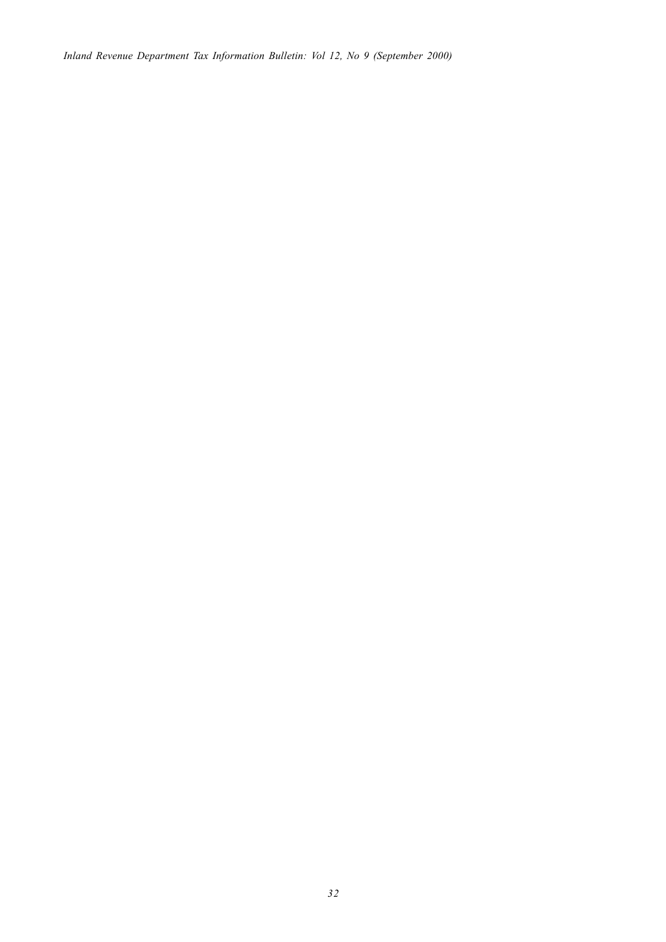*Inland Revenue Department Tax Information Bulletin: Vol 12, No 9 (September 2000)*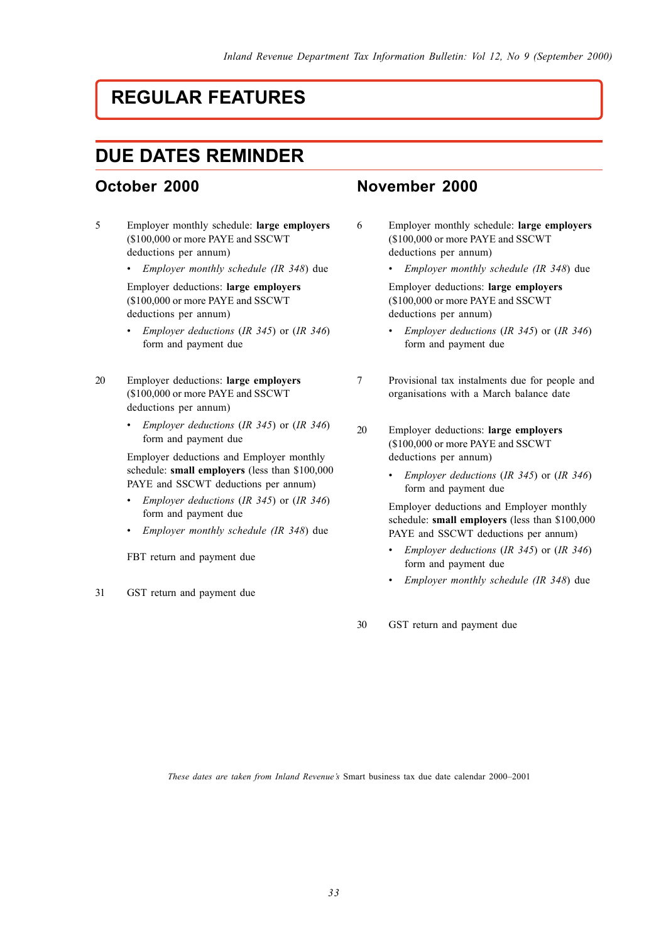# **REGULAR FEATURES**

# **DUE DATES REMINDER**

## **October 2000**

- 5 Employer monthly schedule: **large employers** (\$100,000 or more PAYE and SSCWT deductions per annum)
	- *Employer monthly schedule (IR 348*) due

Employer deductions: **large employers** (\$100,000 or more PAYE and SSCWT deductions per annum)

- *Employer deductions* (*IR 345*) or (*IR 346*) form and payment due
- 20 Employer deductions: **large employers** (\$100,000 or more PAYE and SSCWT deductions per annum)
	- *Employer deductions* (*IR 345*) or (*IR 346*) form and payment due

Employer deductions and Employer monthly schedule: **small employers** (less than \$100,000 PAYE and SSCWT deductions per annum)

- *Employer deductions* (*IR 345*) or (*IR 346*) form and payment due
- *Employer monthly schedule (IR 348*) due

FBT return and payment due

31 GST return and payment due

## **November 2000**

- 6 Employer monthly schedule: **large employers** (\$100,000 or more PAYE and SSCWT deductions per annum)
	- *Employer monthly schedule (IR 348*) due

Employer deductions: **large employers** (\$100,000 or more PAYE and SSCWT deductions per annum)

- *Employer deductions* (*IR 345*) or (*IR 346*) form and payment due
- 7 Provisional tax instalments due for people and organisations with a March balance date
- 20 Employer deductions: **large employers** (\$100,000 or more PAYE and SSCWT deductions per annum)
	- *Employer deductions* (*IR 345*) or (*IR 346*) form and payment due

Employer deductions and Employer monthly schedule: **small employers** (less than \$100,000 PAYE and SSCWT deductions per annum)

- *Employer deductions* (*IR 345*) or (*IR 346*) form and payment due
- *Employer monthly schedule (IR 348*) due
- 30 GST return and payment due

*These dates are taken from Inland Revenue's* Smart business tax due date calendar 2000–2001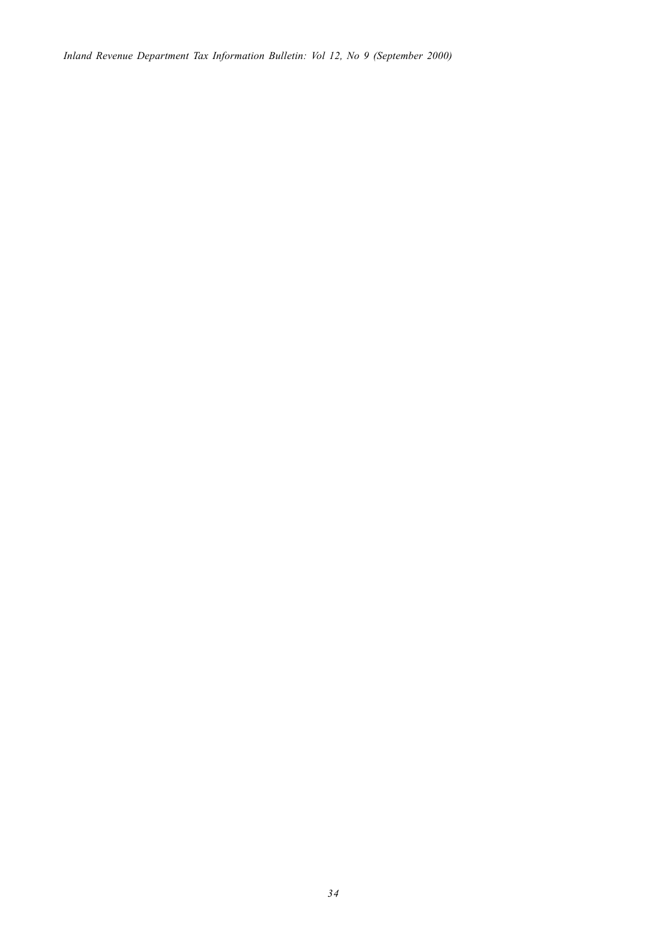*Inland Revenue Department Tax Information Bulletin: Vol 12, No 9 (September 2000)*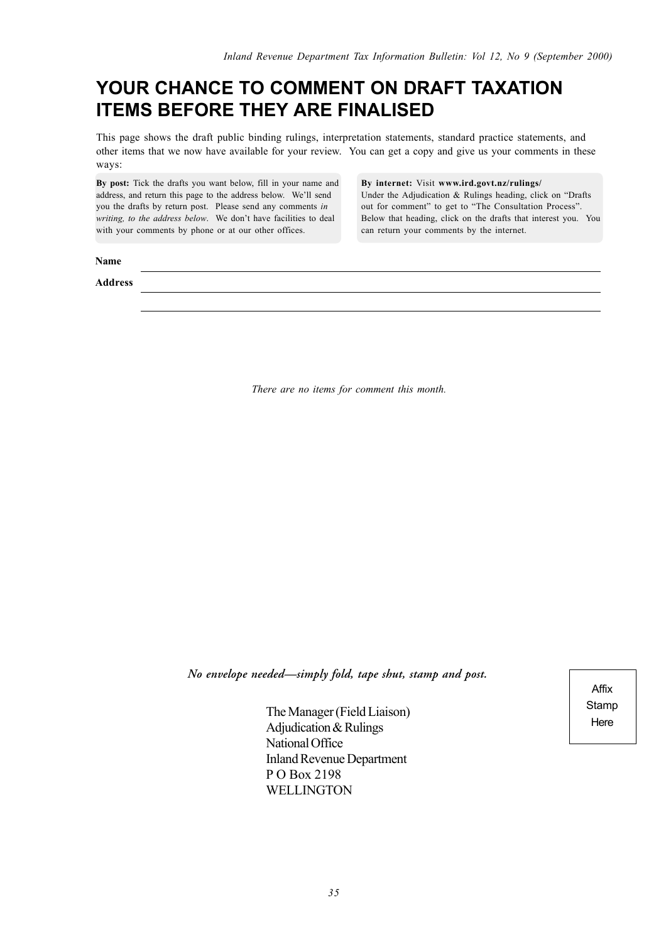# **YOUR CHANCE TO COMMENT ON DRAFT TAXATION ITEMS BEFORE THEY ARE FINALISED**

This page shows the draft public binding rulings, interpretation statements, standard practice statements, and other items that we now have available for your review. You can get a copy and give us your comments in these ways:

**By post:** Tick the drafts you want below, fill in your name and address, and return this page to the address below. We'll send you the drafts by return post. Please send any comments *in writing, to the address below*. We don't have facilities to deal with your comments by phone or at our other offices.

**By internet:** Visit **www.ird.govt.nz/rulings/** Under the Adjudication  $&$  Rulings heading, click on "Drafts" out for comment" to get to "The Consultation Process". Below that heading, click on the drafts that interest you. You can return your comments by the internet.

**Name**

**Address**

*There are no items for comment this month.*

*No envelope needed—simply fold, tape shut, stamp and post.*

The Manager (Field Liaison) Adjudication & Rulings National Office Inland Revenue Department P O Box 2198 WELLINGTON

Affix **Stamp Here**